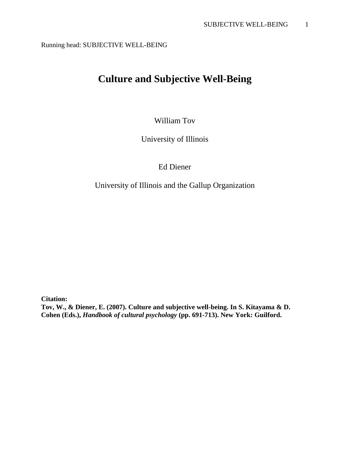Running head: SUBJECTIVE WELL-BEING

# **Culture and Subjective Well-Being**

William Tov

University of Illinois

Ed Diener

University of Illinois and the Gallup Organization

**Citation:**

**Tov, W., & Diener, E. (2007). Culture and subjective well-being. In S. Kitayama & D. Cohen (Eds.),** *Handbook of cultural psychology* **(pp. 691-713). New York: Guilford.**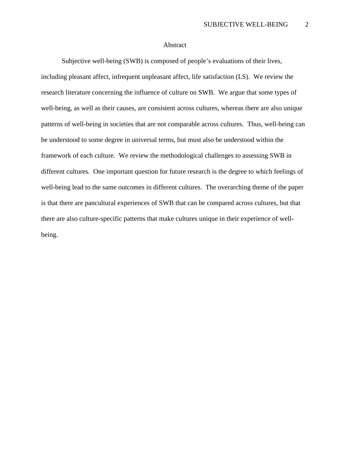## Abstract

Subjective well-being (SWB) is composed of people's evaluations of their lives, including pleasant affect, infrequent unpleasant affect, life satisfaction (LS). We review the research literature concerning the influence of culture on SWB. We argue that some types of well-being, as well as their causes, are consistent across cultures, whereas there are also unique patterns of well-being in societies that are not comparable across cultures. Thus, well-being can be understood to some degree in universal terms, but must also be understood within the framework of each culture. We review the methodological challenges to assessing SWB in different cultures. One important question for future research is the degree to which feelings of well-being lead to the same outcomes in different cultures. The overarching theme of the paper is that there are pancultural experiences of SWB that can be compared across cultures, but that there are also culture-specific patterns that make cultures unique in their experience of wellbeing.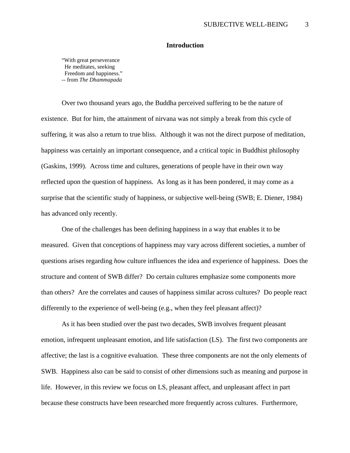# **Introduction**

"With great perseverance He meditates, seeking Freedom and happiness." -- from *The Dhammapada*

Over two thousand years ago, the Buddha perceived suffering to be the nature of existence. But for him, the attainment of nirvana was not simply a break from this cycle of suffering, it was also a return to true bliss. Although it was not the direct purpose of meditation, happiness was certainly an important consequence, and a critical topic in Buddhist philosophy (Gaskins, 1999). Across time and cultures, generations of people have in their own way reflected upon the question of happiness. As long as it has been pondered, it may come as a surprise that the scientific study of happiness, or subjective well-being (SWB; E. Diener, 1984) has advanced only recently.

One of the challenges has been defining happiness in a way that enables it to be measured. Given that conceptions of happiness may vary across different societies, a number of questions arises regarding *how* culture influences the idea and experience of happiness. Does the structure and content of SWB differ? Do certain cultures emphasize some components more than others? Are the correlates and causes of happiness similar across cultures? Do people react differently to the experience of well-being (e.g., when they feel pleasant affect)?

As it has been studied over the past two decades, SWB involves frequent pleasant emotion, infrequent unpleasant emotion, and life satisfaction (LS). The first two components are affective; the last is a cognitive evaluation. These three components are not the only elements of SWB. Happiness also can be said to consist of other dimensions such as meaning and purpose in life. However, in this review we focus on LS, pleasant affect, and unpleasant affect in part because these constructs have been researched more frequently across cultures. Furthermore,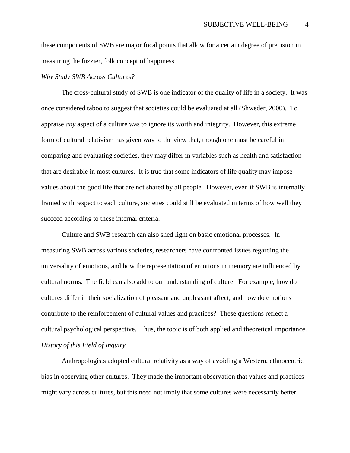these components of SWB are major focal points that allow for a certain degree of precision in measuring the fuzzier, folk concept of happiness.

## *Why Study SWB Across Cultures?*

The cross-cultural study of SWB is one indicator of the quality of life in a society. It was once considered taboo to suggest that societies could be evaluated at all (Shweder, 2000). To appraise *any* aspect of a culture was to ignore its worth and integrity. However, this extreme form of cultural relativism has given way to the view that, though one must be careful in comparing and evaluating societies, they may differ in variables such as health and satisfaction that are desirable in most cultures. It is true that some indicators of life quality may impose values about the good life that are not shared by all people. However, even if SWB is internally framed with respect to each culture, societies could still be evaluated in terms of how well they succeed according to these internal criteria.

Culture and SWB research can also shed light on basic emotional processes. In measuring SWB across various societies, researchers have confronted issues regarding the universality of emotions, and how the representation of emotions in memory are influenced by cultural norms. The field can also add to our understanding of culture. For example, how do cultures differ in their socialization of pleasant and unpleasant affect, and how do emotions contribute to the reinforcement of cultural values and practices? These questions reflect a cultural psychological perspective. Thus, the topic is of both applied and theoretical importance. *History of this Field of Inquiry*

Anthropologists adopted cultural relativity as a way of avoiding a Western, ethnocentric bias in observing other cultures. They made the important observation that values and practices might vary across cultures, but this need not imply that some cultures were necessarily better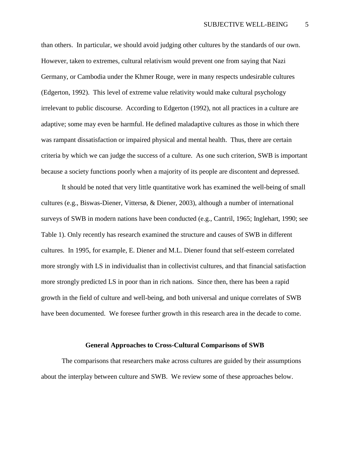than others. In particular, we should avoid judging other cultures by the standards of our own. However, taken to extremes, cultural relativism would prevent one from saying that Nazi Germany, or Cambodia under the Khmer Rouge, were in many respects undesirable cultures (Edgerton, 1992). This level of extreme value relativity would make cultural psychology irrelevant to public discourse. According to Edgerton (1992), not all practices in a culture are adaptive; some may even be harmful. He defined maladaptive cultures as those in which there was rampant dissatisfaction or impaired physical and mental health. Thus, there are certain criteria by which we can judge the success of a culture. As one such criterion, SWB is important because a society functions poorly when a majority of its people are discontent and depressed.

It should be noted that very little quantitative work has examined the well-being of small cultures (e.g., Biswas-Diener, Vittersø, & Diener, 2003), although a number of international surveys of SWB in modern nations have been conducted (e.g., Cantril, 1965; Inglehart, 1990; see Table 1). Only recently has research examined the structure and causes of SWB in different cultures. In 1995, for example, E. Diener and M.L. Diener found that self-esteem correlated more strongly with LS in individualist than in collectivist cultures, and that financial satisfaction more strongly predicted LS in poor than in rich nations. Since then, there has been a rapid growth in the field of culture and well-being, and both universal and unique correlates of SWB have been documented. We foresee further growth in this research area in the decade to come.

#### **General Approaches to Cross-Cultural Comparisons of SWB**

The comparisons that researchers make across cultures are guided by their assumptions about the interplay between culture and SWB. We review some of these approaches below.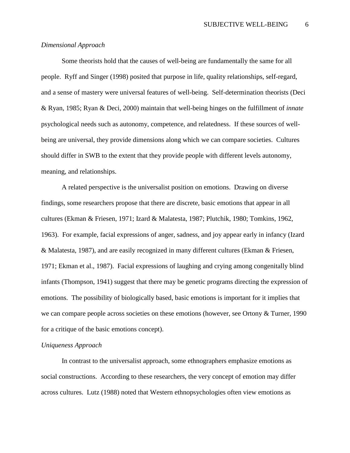# *Dimensional Approach*

Some theorists hold that the causes of well-being are fundamentally the same for all people. Ryff and Singer (1998) posited that purpose in life, quality relationships, self-regard, and a sense of mastery were universal features of well-being. Self-determination theorists (Deci & Ryan, 1985; Ryan & Deci, 2000) maintain that well-being hinges on the fulfillment of *innate* psychological needs such as autonomy, competence, and relatedness. If these sources of wellbeing are universal, they provide dimensions along which we can compare societies. Cultures should differ in SWB to the extent that they provide people with different levels autonomy, meaning, and relationships.

A related perspective is the universalist position on emotions. Drawing on diverse findings, some researchers propose that there are discrete, basic emotions that appear in all cultures (Ekman & Friesen, 1971; Izard & Malatesta, 1987; Plutchik, 1980; Tomkins, 1962, 1963). For example, facial expressions of anger, sadness, and joy appear early in infancy (Izard & Malatesta, 1987), and are easily recognized in many different cultures (Ekman & Friesen, 1971; Ekman et al., 1987). Facial expressions of laughing and crying among congenitally blind infants (Thompson, 1941) suggest that there may be genetic programs directing the expression of emotions. The possibility of biologically based, basic emotions is important for it implies that we can compare people across societies on these emotions (however, see Ortony & Turner, 1990 for a critique of the basic emotions concept).

# *Uniqueness Approach*

In contrast to the universalist approach, some ethnographers emphasize emotions as social constructions. According to these researchers, the very concept of emotion may differ across cultures. Lutz (1988) noted that Western ethnopsychologies often view emotions as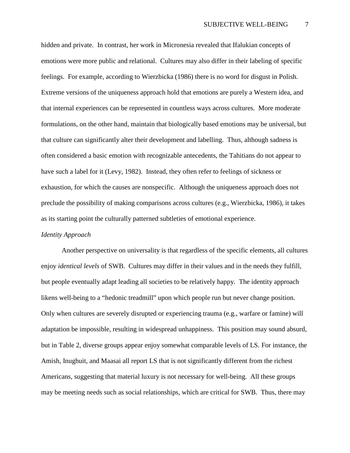hidden and private. In contrast, her work in Micronesia revealed that Ifalukian concepts of emotions were more public and relational. Cultures may also differ in their labeling of specific feelings. For example, according to Wierzbicka (1986) there is no word for disgust in Polish. Extreme versions of the uniqueness approach hold that emotions are purely a Western idea, and that internal experiences can be represented in countless ways across cultures. More moderate formulations, on the other hand, maintain that biologically based emotions may be universal, but that culture can significantly alter their development and labelling. Thus, although sadness is often considered a basic emotion with recognizable antecedents, the Tahitians do not appear to have such a label for it (Levy, 1982). Instead, they often refer to feelings of sickness or exhaustion, for which the causes are nonspecific. Although the uniqueness approach does not preclude the possibility of making comparisons across cultures (e.g., Wierzbicka, 1986), it takes as its starting point the culturally patterned subtleties of emotional experience.

# *Identity Approach*

Another perspective on universality is that regardless of the specific elements, all cultures enjoy *identical levels* of SWB. Cultures may differ in their values and in the needs they fulfill, but people eventually adapt leading all societies to be relatively happy. The identity approach likens well-being to a "hedonic treadmill" upon which people run but never change position. Only when cultures are severely disrupted or experiencing trauma (e.g., warfare or famine) will adaptation be impossible, resulting in widespread unhappiness. This position may sound absurd, but in Table 2, diverse groups appear enjoy somewhat comparable levels of LS. For instance, the Amish, Inughuit, and Maasai all report LS that is not significantly different from the richest Americans, suggesting that material luxury is not necessary for well-being. All these groups may be meeting needs such as social relationships, which are critical for SWB. Thus, there may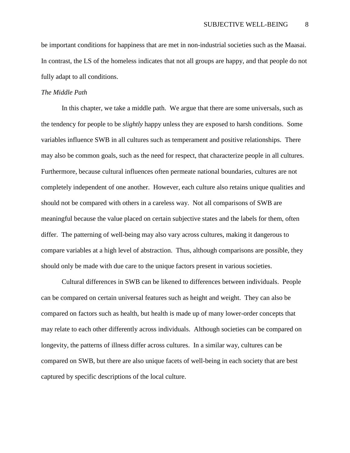be important conditions for happiness that are met in non-industrial societies such as the Maasai. In contrast, the LS of the homeless indicates that not all groups are happy, and that people do not fully adapt to all conditions.

# *The Middle Path*

In this chapter, we take a middle path. We argue that there are some universals, such as the tendency for people to be *slightly* happy unless they are exposed to harsh conditions. Some variables influence SWB in all cultures such as temperament and positive relationships. There may also be common goals, such as the need for respect, that characterize people in all cultures. Furthermore, because cultural influences often permeate national boundaries, cultures are not completely independent of one another. However, each culture also retains unique qualities and should not be compared with others in a careless way. Not all comparisons of SWB are meaningful because the value placed on certain subjective states and the labels for them, often differ. The patterning of well-being may also vary across cultures, making it dangerous to compare variables at a high level of abstraction. Thus, although comparisons are possible, they should only be made with due care to the unique factors present in various societies.

Cultural differences in SWB can be likened to differences between individuals. People can be compared on certain universal features such as height and weight. They can also be compared on factors such as health, but health is made up of many lower-order concepts that may relate to each other differently across individuals. Although societies can be compared on longevity, the patterns of illness differ across cultures. In a similar way, cultures can be compared on SWB, but there are also unique facets of well-being in each society that are best captured by specific descriptions of the local culture.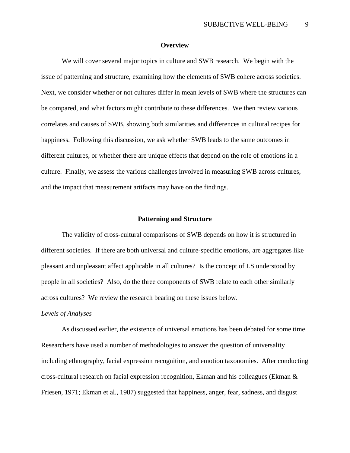#### **Overview**

We will cover several major topics in culture and SWB research. We begin with the issue of patterning and structure, examining how the elements of SWB cohere across societies. Next, we consider whether or not cultures differ in mean levels of SWB where the structures can be compared, and what factors might contribute to these differences. We then review various correlates and causes of SWB, showing both similarities and differences in cultural recipes for happiness. Following this discussion, we ask whether SWB leads to the same outcomes in different cultures, or whether there are unique effects that depend on the role of emotions in a culture. Finally, we assess the various challenges involved in measuring SWB across cultures, and the impact that measurement artifacts may have on the findings.

## **Patterning and Structure**

The validity of cross-cultural comparisons of SWB depends on how it is structured in different societies. If there are both universal and culture-specific emotions, are aggregates like pleasant and unpleasant affect applicable in all cultures? Is the concept of LS understood by people in all societies? Also, do the three components of SWB relate to each other similarly across cultures? We review the research bearing on these issues below.

## *Levels of Analyses*

As discussed earlier, the existence of universal emotions has been debated for some time. Researchers have used a number of methodologies to answer the question of universality including ethnography, facial expression recognition, and emotion taxonomies. After conducting cross-cultural research on facial expression recognition, Ekman and his colleagues (Ekman & Friesen, 1971; Ekman et al., 1987) suggested that happiness, anger, fear, sadness, and disgust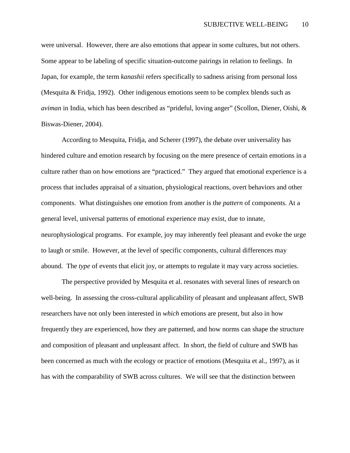were universal. However, there are also emotions that appear in some cultures, but not others. Some appear to be labeling of specific situation-outcome pairings in relation to feelings. In Japan, for example, the term *kanashii* refers specifically to sadness arising from personal loss (Mesquita & Fridja, 1992). Other indigenous emotions seem to be complex blends such as *aviman* in India, which has been described as "prideful, loving anger" (Scollon, Diener, Oishi, & Biswas-Diener, 2004).

According to Mesquita, Fridja, and Scherer (1997), the debate over universality has hindered culture and emotion research by focusing on the mere presence of certain emotions in a culture rather than on how emotions are "practiced." They argued that emotional experience is a process that includes appraisal of a situation, physiological reactions, overt behaviors and other components. What distinguishes one emotion from another is the *pattern* of components. At a general level, universal patterns of emotional experience may exist, due to innate, neurophysiological programs. For example, joy may inherently feel pleasant and evoke the urge to laugh or smile. However, at the level of specific components, cultural differences may abound. The *type* of events that elicit joy, or attempts to regulate it may vary across societies.

The perspective provided by Mesquita et al. resonates with several lines of research on well-being. In assessing the cross-cultural applicability of pleasant and unpleasant affect, SWB researchers have not only been interested in *which* emotions are present, but also in how frequently they are experienced, how they are patterned, and how norms can shape the structure and composition of pleasant and unpleasant affect. In short, the field of culture and SWB has been concerned as much with the ecology or practice of emotions (Mesquita et al., 1997), as it has with the comparability of SWB across cultures. We will see that the distinction between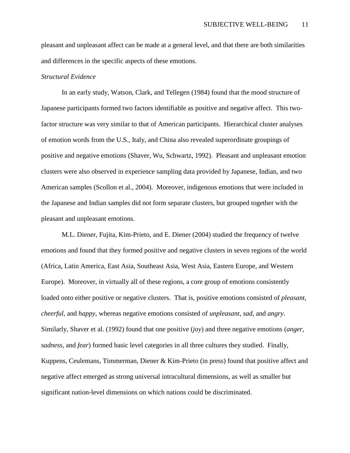pleasant and unpleasant affect can be made at a general level, and that there are both similarities and differences in the specific aspects of these emotions.

# *Structural Evidence*

In an early study, Watson, Clark, and Tellegen (1984) found that the mood structure of Japanese participants formed two factors identifiable as positive and negative affect. This twofactor structure was very similar to that of American participants. Hierarchical cluster analyses of emotion words from the U.S., Italy, and China also revealed superordinate groupings of positive and negative emotions (Shaver, Wu, Schwartz, 1992). Pleasant and unpleasant emotion clusters were also observed in experience sampling data provided by Japanese, Indian, and two American samples (Scollon et al., 2004). Moreover, indigenous emotions that were included in the Japanese and Indian samples did not form separate clusters, but grouped together with the pleasant and unpleasant emotions.

M.L. Diener, Fujita, Kim-Prieto, and E. Diener (2004) studied the frequency of twelve emotions and found that they formed positive and negative clusters in seven regions of the world (Africa, Latin America, East Asia, Southeast Asia, West Asia, Eastern Europe, and Western Europe). Moreover, in virtually all of these regions, a core group of emotions consistently loaded onto either positive or negative clusters. That is, positive emotions consisted of *pleasant*, *cheerful*, and *happy*, whereas negative emotions consisted of *unpleasant*, *sad*, and *angry*. Similarly, Shaver et al. (1992) found that one positive (*joy*) and three negative emotions (*anger*, *sadness*, and *fear*) formed basic level categories in all three cultures they studied. Finally, Kuppens, Ceulemans, Timmerman, Diener & Kim-Prieto (in press) found that positive affect and negative affect emerged as strong universal intracultural dimensions, as well as smaller but significant nation-level dimensions on which nations could be discriminated.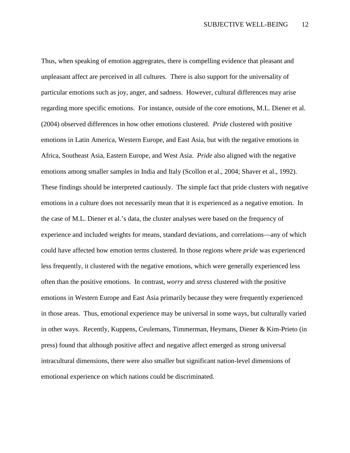Thus, when speaking of emotion aggregrates, there is compelling evidence that pleasant and unpleasant affect are perceived in all cultures. There is also support for the universality of particular emotions such as joy, anger, and sadness. However, cultural differences may arise regarding more specific emotions. For instance, outside of the core emotions, M.L. Diener et al. (2004) observed differences in how other emotions clustered. *Pride* clustered with positive emotions in Latin America, Western Europe, and East Asia, but with the negative emotions in Africa, Southeast Asia, Eastern Europe, and West Asia. *Pride* also aligned with the negative emotions among smaller samples in India and Italy (Scollon et al., 2004; Shaver et al., 1992). These findings should be interpreted cautiously. The simple fact that pride clusters with negative emotions in a culture does not necessarily mean that it is experienced as a negative emotion. In the case of M.L. Diener et al.'s data, the cluster analyses were based on the frequency of experience and included weights for means, standard deviations, and correlations—any of which could have affected how emotion terms clustered. In those regions where *pride* was experienced less frequently, it clustered with the negative emotions, which were generally experienced less often than the positive emotions. In contrast, *worry* and *stress* clustered with the positive emotions in Western Europe and East Asia primarily because they were frequently experienced in those areas. Thus, emotional experience may be universal in some ways, but culturally varied in other ways. Recently, Kuppens, Ceulemans, Timmerman, Heymans, Diener & Kim-Prieto (in press) found that although positive affect and negative affect emerged as strong universal intracultural dimensions, there were also smaller but significant nation-level dimensions of emotional experience on which nations could be discriminated.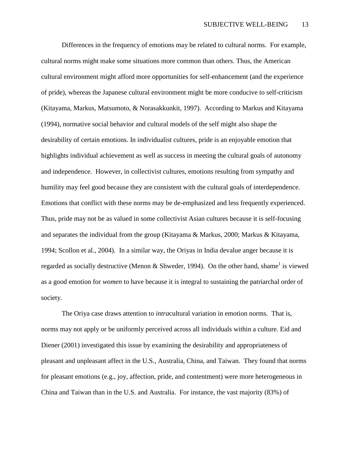Differences in the frequency of emotions may be related to cultural norms. For example, cultural norms might make some situations more common than others. Thus, the American cultural environment might afford more opportunities for self-enhancement (and the experience of pride), whereas the Japanese cultural environment might be more conducive to self-criticism (Kitayama, Markus, Matsumoto, & Norasakkunkit, 1997). According to Markus and Kitayama (1994), normative social behavior and cultural models of the self might also shape the desirability of certain emotions. In individualist cultures, pride is an enjoyable emotion that highlights individual achievement as well as success in meeting the cultural goals of autonomy and independence. However, in collectivist cultures, emotions resulting from sympathy and humility may feel good because they are consistent with the cultural goals of interdependence. Emotions that conflict with these norms may be de-emphasized and less frequently experienced. Thus, pride may not be as valued in some collectivist Asian cultures because it is self-focusing and separates the individual from the group (Kitayama & Markus, 2000; Markus & Kitayama, 1994; Scollon et al., 2004). In a similar way, the Oriyas in India devalue anger because it is regarded as socially destructive (Menon & Shweder, 1994). On the other hand, shame<sup>1</sup> is viewed as a good emotion for *women* to have because it is integral to sustaining the patriarchal order of society.

The Oriya case draws attention to *intra*cultural variation in emotion norms. That is, norms may not apply or be uniformly perceived across all individuals within a culture. Eid and Diener (2001) investigated this issue by examining the desirability and appropriateness of pleasant and unpleasant affect in the U.S., Australia, China, and Taiwan. They found that norms for pleasant emotions (e.g., joy, affection, pride, and contentment) were more heterogeneous in China and Taiwan than in the U.S. and Australia. For instance, the vast majority (83%) of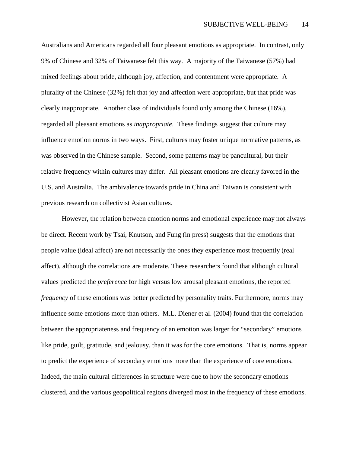Australians and Americans regarded all four pleasant emotions as appropriate. In contrast, only 9% of Chinese and 32% of Taiwanese felt this way. A majority of the Taiwanese (57%) had mixed feelings about pride, although joy, affection, and contentment were appropriate. A plurality of the Chinese (32%) felt that joy and affection were appropriate, but that pride was clearly inappropriate. Another class of individuals found only among the Chinese (16%), regarded all pleasant emotions as *inappropriate*. These findings suggest that culture may influence emotion norms in two ways. First, cultures may foster unique normative patterns, as was observed in the Chinese sample. Second, some patterns may be pancultural, but their relative frequency within cultures may differ. All pleasant emotions are clearly favored in the U.S. and Australia. The ambivalence towards pride in China and Taiwan is consistent with previous research on collectivist Asian cultures.

However, the relation between emotion norms and emotional experience may not always be direct. Recent work by Tsai, Knutson, and Fung (in press) suggests that the emotions that people value (ideal affect) are not necessarily the ones they experience most frequently (real affect), although the correlations are moderate. These researchers found that although cultural values predicted the *preference* for high versus low arousal pleasant emotions, the reported *frequency* of these emotions was better predicted by personality traits. Furthermore, norms may influence some emotions more than others. M.L. Diener et al. (2004) found that the correlation between the appropriateness and frequency of an emotion was larger for "secondary" emotions like pride, guilt, gratitude, and jealousy, than it was for the core emotions. That is, norms appear to predict the experience of secondary emotions more than the experience of core emotions. Indeed, the main cultural differences in structure were due to how the secondary emotions clustered, and the various geopolitical regions diverged most in the frequency of these emotions.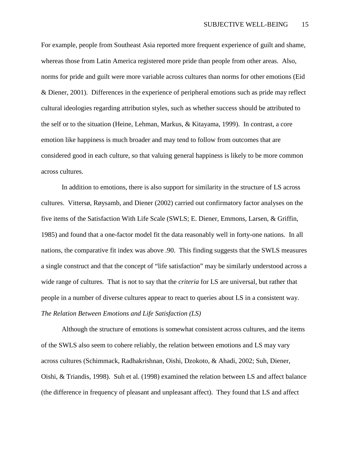For example, people from Southeast Asia reported more frequent experience of guilt and shame, whereas those from Latin America registered more pride than people from other areas. Also, norms for pride and guilt were more variable across cultures than norms for other emotions (Eid & Diener, 2001). Differences in the experience of peripheral emotions such as pride may reflect cultural ideologies regarding attribution styles, such as whether success should be attributed to the self or to the situation (Heine, Lehman, Markus, & Kitayama, 1999). In contrast, a core emotion like happiness is much broader and may tend to follow from outcomes that are considered good in each culture, so that valuing general happiness is likely to be more common across cultures.

In addition to emotions, there is also support for similarity in the structure of LS across cultures. Vittersø, Røysamb, and Diener (2002) carried out confirmatory factor analyses on the five items of the Satisfaction With Life Scale (SWLS; E. Diener, Emmons, Larsen, & Griffin, 1985) and found that a one-factor model fit the data reasonably well in forty-one nations. In all nations, the comparative fit index was above .90. This finding suggests that the SWLS measures a single construct and that the concept of "life satisfaction" may be similarly understood across a wide range of cultures. That is not to say that the *criteria* for LS are universal, but rather that people in a number of diverse cultures appear to react to queries about LS in a consistent way. *The Relation Between Emotions and Life Satisfaction (LS)*

Although the structure of emotions is somewhat consistent across cultures, and the items of the SWLS also seem to cohere reliably, the relation between emotions and LS may vary across cultures (Schimmack, Radhakrishnan, Oishi, Dzokoto, & Ahadi, 2002; Suh, Diener, Oishi, & Triandis, 1998). Suh et al. (1998) examined the relation between LS and affect balance (the difference in frequency of pleasant and unpleasant affect). They found that LS and affect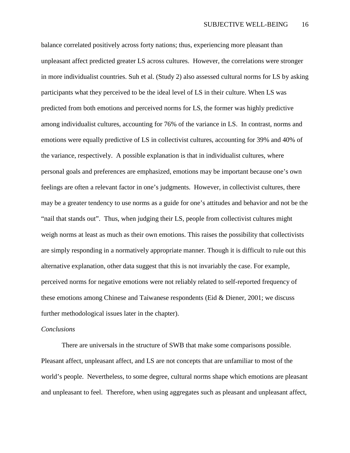balance correlated positively across forty nations; thus, experiencing more pleasant than unpleasant affect predicted greater LS across cultures. However, the correlations were stronger in more individualist countries. Suh et al. (Study 2) also assessed cultural norms for LS by asking participants what they perceived to be the ideal level of LS in their culture. When LS was predicted from both emotions and perceived norms for LS, the former was highly predictive among individualist cultures, accounting for 76% of the variance in LS. In contrast, norms and emotions were equally predictive of LS in collectivist cultures, accounting for 39% and 40% of the variance, respectively. A possible explanation is that in individualist cultures, where personal goals and preferences are emphasized, emotions may be important because one's own feelings are often a relevant factor in one's judgments. However, in collectivist cultures, there may be a greater tendency to use norms as a guide for one's attitudes and behavior and not be the "nail that stands out". Thus, when judging their LS, people from collectivist cultures might weigh norms at least as much as their own emotions. This raises the possibility that collectivists are simply responding in a normatively appropriate manner. Though it is difficult to rule out this alternative explanation, other data suggest that this is not invariably the case. For example, perceived norms for negative emotions were not reliably related to self-reported frequency of these emotions among Chinese and Taiwanese respondents (Eid & Diener, 2001; we discuss further methodological issues later in the chapter).

## *Conclusions*

There are universals in the structure of SWB that make some comparisons possible. Pleasant affect, unpleasant affect, and LS are not concepts that are unfamiliar to most of the world's people. Nevertheless, to some degree, cultural norms shape which emotions are pleasant and unpleasant to feel. Therefore, when using aggregates such as pleasant and unpleasant affect,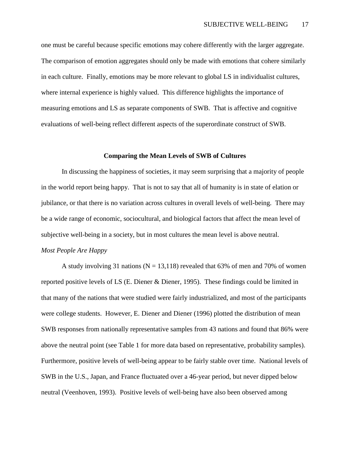one must be careful because specific emotions may cohere differently with the larger aggregate. The comparison of emotion aggregates should only be made with emotions that cohere similarly in each culture. Finally, emotions may be more relevant to global LS in individualist cultures, where internal experience is highly valued. This difference highlights the importance of measuring emotions and LS as separate components of SWB. That is affective and cognitive evaluations of well-being reflect different aspects of the superordinate construct of SWB.

# **Comparing the Mean Levels of SWB of Cultures**

In discussing the happiness of societies, it may seem surprising that a majority of people in the world report being happy. That is not to say that all of humanity is in state of elation or jubilance, or that there is no variation across cultures in overall levels of well-being. There may be a wide range of economic, sociocultural, and biological factors that affect the mean level of subjective well-being in a society, but in most cultures the mean level is above neutral.

# *Most People Are Happy*

A study involving 31 nations ( $N = 13,118$ ) revealed that 63% of men and 70% of women reported positive levels of LS (E. Diener & Diener, 1995). These findings could be limited in that many of the nations that were studied were fairly industrialized, and most of the participants were college students. However, E. Diener and Diener (1996) plotted the distribution of mean SWB responses from nationally representative samples from 43 nations and found that 86% were above the neutral point (see Table 1 for more data based on representative, probability samples). Furthermore, positive levels of well-being appear to be fairly stable over time. National levels of SWB in the U.S., Japan, and France fluctuated over a 46-year period, but never dipped below neutral (Veenhoven, 1993). Positive levels of well-being have also been observed among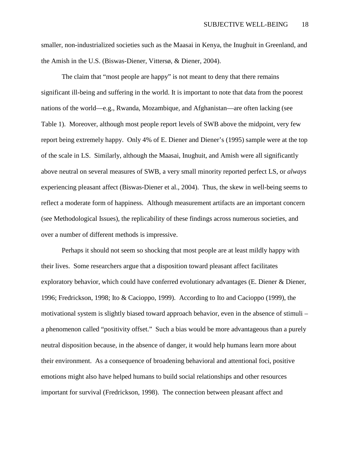smaller, non-industrialized societies such as the Maasai in Kenya, the Inughuit in Greenland, and the Amish in the U.S. (Biswas-Diener, Vittersø, & Diener, 2004).

The claim that "most people are happy" is not meant to deny that there remains significant ill-being and suffering in the world. It is important to note that data from the poorest nations of the world—e.g., Rwanda, Mozambique, and Afghanistan—are often lacking (see Table 1). Moreover, although most people report levels of SWB above the midpoint, very few report being extremely happy. Only 4% of E. Diener and Diener's (1995) sample were at the top of the scale in LS. Similarly, although the Maasai, Inughuit, and Amish were all significantly above neutral on several measures of SWB, a very small minority reported perfect LS, or *always* experiencing pleasant affect (Biswas-Diener et al., 2004). Thus, the skew in well-being seems to reflect a moderate form of happiness. Although measurement artifacts are an important concern (see Methodological Issues), the replicability of these findings across numerous societies, and over a number of different methods is impressive.

Perhaps it should not seem so shocking that most people are at least mildly happy with their lives. Some researchers argue that a disposition toward pleasant affect facilitates exploratory behavior, which could have conferred evolutionary advantages (E. Diener & Diener, 1996; Fredrickson, 1998; Ito & Cacioppo, 1999). According to Ito and Cacioppo (1999), the motivational system is slightly biased toward approach behavior, even in the absence of stimuli – a phenomenon called "positivity offset." Such a bias would be more advantageous than a purely neutral disposition because, in the absence of danger, it would help humans learn more about their environment. As a consequence of broadening behavioral and attentional foci, positive emotions might also have helped humans to build social relationships and other resources important for survival (Fredrickson, 1998). The connection between pleasant affect and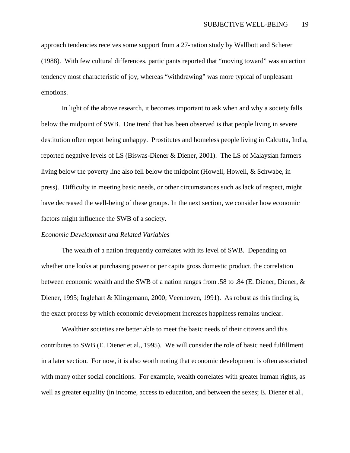approach tendencies receives some support from a 27-nation study by Wallbott and Scherer (1988). With few cultural differences, participants reported that "moving toward" was an action tendency most characteristic of joy, whereas "withdrawing" was more typical of unpleasant emotions.

In light of the above research, it becomes important to ask when and why a society falls below the midpoint of SWB. One trend that has been observed is that people living in severe destitution often report being unhappy. Prostitutes and homeless people living in Calcutta, India, reported negative levels of LS (Biswas-Diener & Diener, 2001). The LS of Malaysian farmers living below the poverty line also fell below the midpoint (Howell, Howell, & Schwabe, in press). Difficulty in meeting basic needs, or other circumstances such as lack of respect, might have decreased the well-being of these groups. In the next section, we consider how economic factors might influence the SWB of a society.

#### *Economic Development and Related Variables*

The wealth of a nation frequently correlates with its level of SWB. Depending on whether one looks at purchasing power or per capita gross domestic product, the correlation between economic wealth and the SWB of a nation ranges from .58 to .84 (E. Diener, Diener, & Diener, 1995; Inglehart & Klingemann, 2000; Veenhoven, 1991). As robust as this finding is, the exact process by which economic development increases happiness remains unclear.

Wealthier societies are better able to meet the basic needs of their citizens and this contributes to SWB (E. Diener et al., 1995). We will consider the role of basic need fulfillment in a later section. For now, it is also worth noting that economic development is often associated with many other social conditions. For example, wealth correlates with greater human rights, as well as greater equality (in income, access to education, and between the sexes; E. Diener et al.,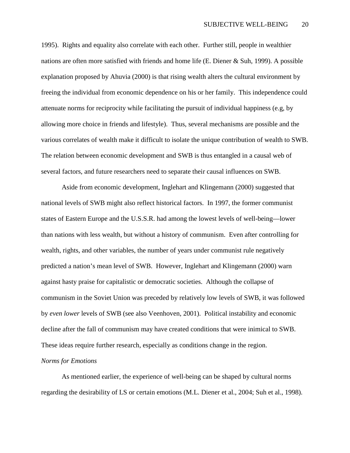1995). Rights and equality also correlate with each other. Further still, people in wealthier nations are often more satisfied with friends and home life (E. Diener & Suh, 1999). A possible explanation proposed by Ahuvia (2000) is that rising wealth alters the cultural environment by freeing the individual from economic dependence on his or her family. This independence could attenuate norms for reciprocity while facilitating the pursuit of individual happiness (e.g, by allowing more choice in friends and lifestyle). Thus, several mechanisms are possible and the various correlates of wealth make it difficult to isolate the unique contribution of wealth to SWB. The relation between economic development and SWB is thus entangled in a causal web of several factors, and future researchers need to separate their causal influences on SWB.

Aside from economic development, Inglehart and Klingemann (2000) suggested that national levels of SWB might also reflect historical factors. In 1997, the former communist states of Eastern Europe and the U.S.S.R. had among the lowest levels of well-being—lower than nations with less wealth, but without a history of communism. Even after controlling for wealth, rights, and other variables, the number of years under communist rule negatively predicted a nation's mean level of SWB. However, Inglehart and Klingemann (2000) warn against hasty praise for capitalistic or democratic societies. Although the collapse of communism in the Soviet Union was preceded by relatively low levels of SWB, it was followed by *even lower* levels of SWB (see also Veenhoven, 2001). Political instability and economic decline after the fall of communism may have created conditions that were inimical to SWB. These ideas require further research, especially as conditions change in the region.

#### *Norms for Emotions*

As mentioned earlier, the experience of well-being can be shaped by cultural norms regarding the desirability of LS or certain emotions (M.L. Diener et al., 2004; Suh et al., 1998).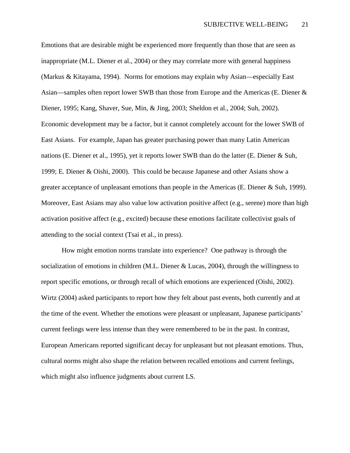Emotions that are desirable might be experienced more frequently than those that are seen as inappropriate (M.L. Diener et al., 2004) or they may correlate more with general happiness (Markus & Kitayama, 1994). Norms for emotions may explain why Asian—especially East Asian—samples often report lower SWB than those from Europe and the Americas (E. Diener & Diener, 1995; Kang, Shaver, Sue, Min, & Jing, 2003; Sheldon et al., 2004; Suh, 2002). Economic development may be a factor, but it cannot completely account for the lower SWB of East Asians. For example, Japan has greater purchasing power than many Latin American nations (E. Diener et al., 1995), yet it reports lower SWB than do the latter (E. Diener & Suh, 1999; E. Diener & Oishi, 2000). This could be because Japanese and other Asians show a greater acceptance of unpleasant emotions than people in the Americas (E. Diener  $\&$  Suh, 1999). Moreover, East Asians may also value low activation positive affect (e.g., serene) more than high activation positive affect (e.g., excited) because these emotions facilitate collectivist goals of attending to the social context (Tsai et al., in press).

How might emotion norms translate into experience? One pathway is through the socialization of emotions in children (M.L. Diener  $&$  Lucas, 2004), through the willingness to report specific emotions, or through recall of which emotions are experienced (Oishi, 2002). Wirtz (2004) asked participants to report how they felt about past events, both currently and at the time of the event. Whether the emotions were pleasant or unpleasant, Japanese participants' current feelings were less intense than they were remembered to be in the past. In contrast, European Americans reported significant decay for unpleasant but not pleasant emotions. Thus, cultural norms might also shape the relation between recalled emotions and current feelings, which might also influence judgments about current LS.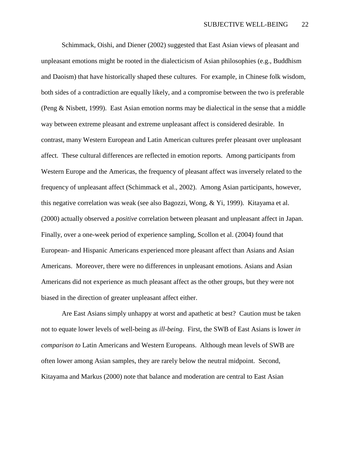Schimmack, Oishi, and Diener (2002) suggested that East Asian views of pleasant and unpleasant emotions might be rooted in the dialecticism of Asian philosophies (e.g., Buddhism and Daoism) that have historically shaped these cultures. For example, in Chinese folk wisdom, both sides of a contradiction are equally likely, and a compromise between the two is preferable (Peng & Nisbett, 1999). East Asian emotion norms may be dialectical in the sense that a middle way between extreme pleasant and extreme unpleasant affect is considered desirable. In contrast, many Western European and Latin American cultures prefer pleasant over unpleasant affect. These cultural differences are reflected in emotion reports. Among participants from Western Europe and the Americas, the frequency of pleasant affect was inversely related to the frequency of unpleasant affect (Schimmack et al., 2002). Among Asian participants, however, this negative correlation was weak (see also Bagozzi, Wong, & Yi, 1999). Kitayama et al. (2000) actually observed a *positive* correlation between pleasant and unpleasant affect in Japan. Finally, over a one-week period of experience sampling, Scollon et al. (2004) found that European- and Hispanic Americans experienced more pleasant affect than Asians and Asian Americans. Moreover, there were no differences in unpleasant emotions. Asians and Asian Americans did not experience as much pleasant affect as the other groups, but they were not biased in the direction of greater unpleasant affect either.

Are East Asians simply unhappy at worst and apathetic at best? Caution must be taken not to equate lower levels of well-being as *ill-being*. First, the SWB of East Asians is lower *in comparison to* Latin Americans and Western Europeans. Although mean levels of SWB are often lower among Asian samples, they are rarely below the neutral midpoint. Second, Kitayama and Markus (2000) note that balance and moderation are central to East Asian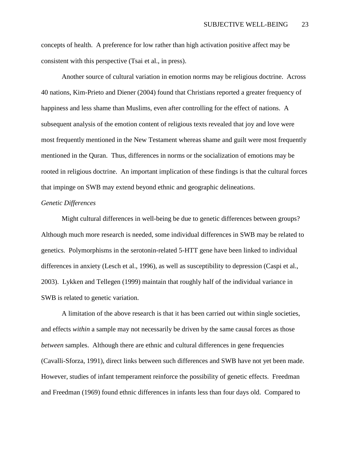concepts of health. A preference for low rather than high activation positive affect may be consistent with this perspective (Tsai et al., in press).

Another source of cultural variation in emotion norms may be religious doctrine. Across 40 nations, Kim-Prieto and Diener (2004) found that Christians reported a greater frequency of happiness and less shame than Muslims, even after controlling for the effect of nations. A subsequent analysis of the emotion content of religious texts revealed that joy and love were most frequently mentioned in the New Testament whereas shame and guilt were most frequently mentioned in the Quran. Thus, differences in norms or the socialization of emotions may be rooted in religious doctrine. An important implication of these findings is that the cultural forces that impinge on SWB may extend beyond ethnic and geographic delineations.

# *Genetic Differences*

Might cultural differences in well-being be due to genetic differences between groups? Although much more research is needed, some individual differences in SWB may be related to genetics. Polymorphisms in the serotonin-related 5-HTT gene have been linked to individual differences in anxiety (Lesch et al., 1996), as well as susceptibility to depression (Caspi et al., 2003). Lykken and Tellegen (1999) maintain that roughly half of the individual variance in SWB is related to genetic variation.

A limitation of the above research is that it has been carried out within single societies, and effects *within* a sample may not necessarily be driven by the same causal forces as those *between* samples. Although there are ethnic and cultural differences in gene frequencies (Cavalli-Sforza, 1991), direct links between such differences and SWB have not yet been made. However, studies of infant temperament reinforce the possibility of genetic effects. Freedman and Freedman (1969) found ethnic differences in infants less than four days old. Compared to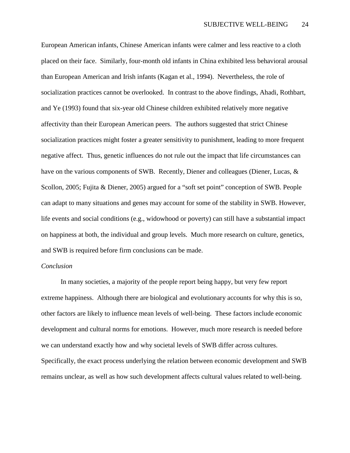European American infants, Chinese American infants were calmer and less reactive to a cloth placed on their face. Similarly, four-month old infants in China exhibited less behavioral arousal than European American and Irish infants (Kagan et al., 1994). Nevertheless, the role of socialization practices cannot be overlooked. In contrast to the above findings, Ahadi, Rothbart, and Ye (1993) found that six-year old Chinese children exhibited relatively more negative affectivity than their European American peers. The authors suggested that strict Chinese socialization practices might foster a greater sensitivity to punishment, leading to more frequent negative affect. Thus, genetic influences do not rule out the impact that life circumstances can have on the various components of SWB. Recently, Diener and colleagues (Diener, Lucas, & Scollon, 2005; Fujita & Diener, 2005) argued for a "soft set point" conception of SWB. People can adapt to many situations and genes may account for some of the stability in SWB. However, life events and social conditions (e.g., widowhood or poverty) can still have a substantial impact on happiness at both, the individual and group levels. Much more research on culture, genetics, and SWB is required before firm conclusions can be made.

# *Conclusion*

In many societies, a majority of the people report being happy, but very few report extreme happiness. Although there are biological and evolutionary accounts for why this is so, other factors are likely to influence mean levels of well-being. These factors include economic development and cultural norms for emotions. However, much more research is needed before we can understand exactly how and why societal levels of SWB differ across cultures. Specifically, the exact process underlying the relation between economic development and SWB remains unclear, as well as how such development affects cultural values related to well-being.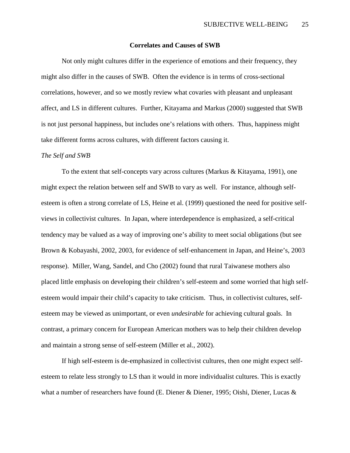#### **Correlates and Causes of SWB**

Not only might cultures differ in the experience of emotions and their frequency, they might also differ in the causes of SWB. Often the evidence is in terms of cross-sectional correlations, however, and so we mostly review what covaries with pleasant and unpleasant affect, and LS in different cultures. Further, Kitayama and Markus (2000) suggested that SWB is not just personal happiness, but includes one's relations with others. Thus, happiness might take different forms across cultures, with different factors causing it.

#### *The Self and SWB*

To the extent that self-concepts vary across cultures (Markus & Kitayama, 1991), one might expect the relation between self and SWB to vary as well. For instance, although selfesteem is often a strong correlate of LS, Heine et al. (1999) questioned the need for positive selfviews in collectivist cultures. In Japan, where interdependence is emphasized, a self-critical tendency may be valued as a way of improving one's ability to meet social obligations (but see Brown & Kobayashi, 2002, 2003, for evidence of self-enhancement in Japan, and Heine's, 2003 response). Miller, Wang, Sandel, and Cho (2002) found that rural Taiwanese mothers also placed little emphasis on developing their children's self-esteem and some worried that high selfesteem would impair their child's capacity to take criticism. Thus, in collectivist cultures, selfesteem may be viewed as unimportant, or even *undesirable* for achieving cultural goals. In contrast, a primary concern for European American mothers was to help their children develop and maintain a strong sense of self-esteem (Miller et al., 2002).

If high self-esteem is de-emphasized in collectivist cultures, then one might expect selfesteem to relate less strongly to LS than it would in more individualist cultures. This is exactly what a number of researchers have found (E. Diener & Diener, 1995; Oishi, Diener, Lucas &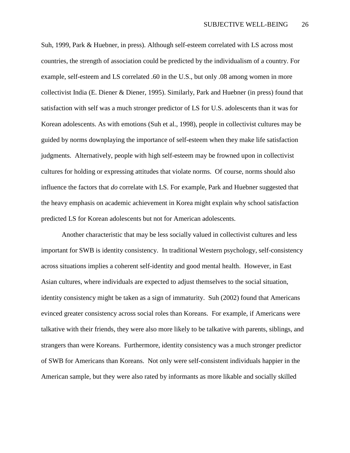Suh, 1999, Park & Huebner, in press). Although self-esteem correlated with LS across most countries, the strength of association could be predicted by the individualism of a country. For example, self-esteem and LS correlated .60 in the U.S., but only .08 among women in more collectivist India (E. Diener & Diener, 1995). Similarly, Park and Huebner (in press) found that satisfaction with self was a much stronger predictor of LS for U.S. adolescents than it was for Korean adolescents. As with emotions (Suh et al., 1998), people in collectivist cultures may be guided by norms downplaying the importance of self-esteem when they make life satisfaction judgments. Alternatively, people with high self-esteem may be frowned upon in collectivist cultures for holding or expressing attitudes that violate norms. Of course, norms should also influence the factors that *do* correlate with LS. For example, Park and Huebner suggested that the heavy emphasis on academic achievement in Korea might explain why school satisfaction predicted LS for Korean adolescents but not for American adolescents.

Another characteristic that may be less socially valued in collectivist cultures and less important for SWB is identity consistency. In traditional Western psychology, self-consistency across situations implies a coherent self-identity and good mental health. However, in East Asian cultures, where individuals are expected to adjust themselves to the social situation, identity consistency might be taken as a sign of immaturity. Suh (2002) found that Americans evinced greater consistency across social roles than Koreans. For example, if Americans were talkative with their friends, they were also more likely to be talkative with parents, siblings, and strangers than were Koreans. Furthermore, identity consistency was a much stronger predictor of SWB for Americans than Koreans. Not only were self-consistent individuals happier in the American sample, but they were also rated by informants as more likable and socially skilled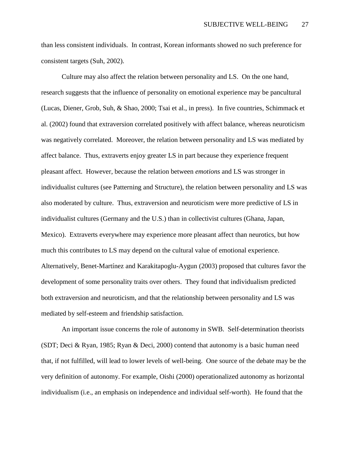than less consistent individuals. In contrast, Korean informants showed no such preference for consistent targets (Suh, 2002).

Culture may also affect the relation between personality and LS. On the one hand, research suggests that the influence of personality on emotional experience may be pancultural (Lucas, Diener, Grob, Suh, & Shao, 2000; Tsai et al., in press). In five countries, Schimmack et al. (2002) found that extraversion correlated positively with affect balance, whereas neuroticism was negatively correlated. Moreover, the relation between personality and LS was mediated by affect balance. Thus, extraverts enjoy greater LS in part because they experience frequent pleasant affect. However, because the relation between *emotions* and LS was stronger in individualist cultures (see Patterning and Structure), the relation between personality and LS was also moderated by culture. Thus, extraversion and neuroticism were more predictive of LS in individualist cultures (Germany and the U.S.) than in collectivist cultures (Ghana, Japan, Mexico). Extraverts everywhere may experience more pleasant affect than neurotics, but how much this contributes to LS may depend on the cultural value of emotional experience. Alternatively, Benet-Martínez and Karakitapoglu-Aygun (2003) proposed that cultures favor the development of some personality traits over others. They found that individualism predicted both extraversion and neuroticism, and that the relationship between personality and LS was mediated by self-esteem and friendship satisfaction.

An important issue concerns the role of autonomy in SWB. Self-determination theorists (SDT; Deci & Ryan, 1985; Ryan & Deci, 2000) contend that autonomy is a basic human need that, if not fulfilled, will lead to lower levels of well-being. One source of the debate may be the very definition of autonomy. For example, Oishi (2000) operationalized autonomy as horizontal individualism (i.e., an emphasis on independence and individual self-worth). He found that the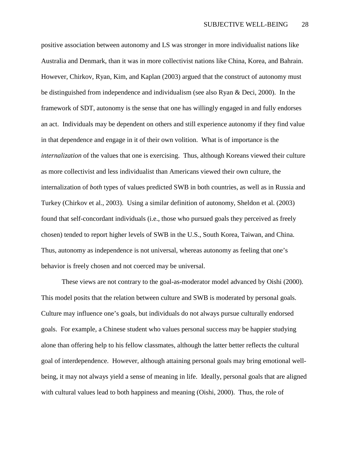positive association between autonomy and LS was stronger in more individualist nations like Australia and Denmark, than it was in more collectivist nations like China, Korea, and Bahrain. However, Chirkov, Ryan, Kim, and Kaplan (2003) argued that the construct of autonomy must be distinguished from independence and individualism (see also Ryan & Deci, 2000). In the framework of SDT, autonomy is the sense that one has willingly engaged in and fully endorses an act. Individuals may be dependent on others and still experience autonomy if they find value in that dependence and engage in it of their own volition. What is of importance is the *internalization* of the values that one is exercising. Thus, although Koreans viewed their culture as more collectivist and less individualist than Americans viewed their own culture, the internalization of *both* types of values predicted SWB in both countries, as well as in Russia and Turkey (Chirkov et al., 2003). Using a similar definition of autonomy, Sheldon et al. (2003) found that self-concordant individuals (i.e., those who pursued goals they perceived as freely chosen) tended to report higher levels of SWB in the U.S., South Korea, Taiwan, and China. Thus, autonomy as independence is not universal, whereas autonomy as feeling that one's behavior is freely chosen and not coerced may be universal.

These views are not contrary to the goal-as-moderator model advanced by Oishi (2000). This model posits that the relation between culture and SWB is moderated by personal goals. Culture may influence one's goals, but individuals do not always pursue culturally endorsed goals. For example, a Chinese student who values personal success may be happier studying alone than offering help to his fellow classmates, although the latter better reflects the cultural goal of interdependence. However, although attaining personal goals may bring emotional wellbeing, it may not always yield a sense of meaning in life. Ideally, personal goals that are aligned with cultural values lead to both happiness and meaning (Oishi, 2000). Thus, the role of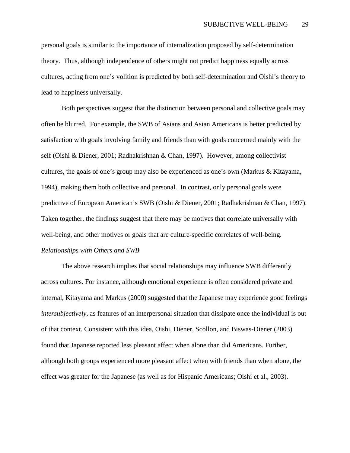personal goals is similar to the importance of internalization proposed by self-determination theory. Thus, although independence of others might not predict happiness equally across cultures, acting from one's volition is predicted by both self-determination and Oishi's theory to lead to happiness universally.

Both perspectives suggest that the distinction between personal and collective goals may often be blurred. For example, the SWB of Asians and Asian Americans is better predicted by satisfaction with goals involving family and friends than with goals concerned mainly with the self (Oishi & Diener, 2001; Radhakrishnan & Chan, 1997). However, among collectivist cultures, the goals of one's group may also be experienced as one's own (Markus & Kitayama, 1994), making them both collective and personal. In contrast, only personal goals were predictive of European American's SWB (Oishi & Diener, 2001; Radhakrishnan & Chan, 1997). Taken together, the findings suggest that there may be motives that correlate universally with well-being, and other motives or goals that are culture-specific correlates of well-being. *Relationships with Others and SWB*

The above research implies that social relationships may influence SWB differently across cultures. For instance, although emotional experience is often considered private and internal, Kitayama and Markus (2000) suggested that the Japanese may experience good feelings *intersubjectively*, as features of an interpersonal situation that dissipate once the individual is out of that context. Consistent with this idea, Oishi, Diener, Scollon, and Biswas-Diener (2003) found that Japanese reported less pleasant affect when alone than did Americans. Further, although both groups experienced more pleasant affect when with friends than when alone, the effect was greater for the Japanese (as well as for Hispanic Americans; Oishi et al., 2003).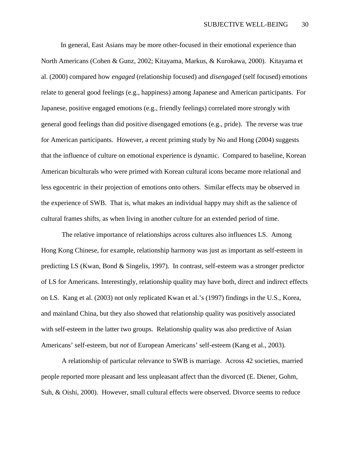In general, East Asians may be more other-focused in their emotional experience than North Americans (Cohen & Gunz, 2002; Kitayama, Markus, & Kurokawa, 2000). Kitayama et al. (2000) compared how *engaged* (relationship focused) and *disengaged* (self focused) emotions relate to general good feelings (e.g., happiness) among Japanese and American participants. For Japanese, positive engaged emotions (e.g., friendly feelings) correlated more strongly with general good feelings than did positive disengaged emotions (e.g., pride). The reverse was true for American participants. However, a recent priming study by No and Hong (2004) suggests that the influence of culture on emotional experience is dynamic. Compared to baseline, Korean American biculturals who were primed with Korean cultural icons became more relational and less egocentric in their projection of emotions onto others. Similar effects may be observed in the experience of SWB. That is, what makes an individual happy may shift as the salience of cultural frames shifts, as when living in another culture for an extended period of time.

The relative importance of relationships across cultures also influences LS. Among Hong Kong Chinese, for example, relationship harmony was just as important as self-esteem in predicting LS (Kwan, Bond & Singelis, 1997). In contrast, self-esteem was a stronger predictor of LS for Americans. Interestingly, relationship quality may have both, direct and indirect effects on LS. Kang et al. (2003) not only replicated Kwan et al.'s (1997) findings in the U.S., Korea, and mainland China, but they also showed that relationship quality was positively associated with self-esteem in the latter two groups. Relationship quality was also predictive of Asian Americans' self-esteem, but *not* of European Americans' self-esteem (Kang et al., 2003).

A relationship of particular relevance to SWB is marriage. Across 42 societies, married people reported more pleasant and less unpleasant affect than the divorced (E. Diener, Gohm, Suh, & Oishi, 2000). However, small cultural effects were observed. Divorce seems to reduce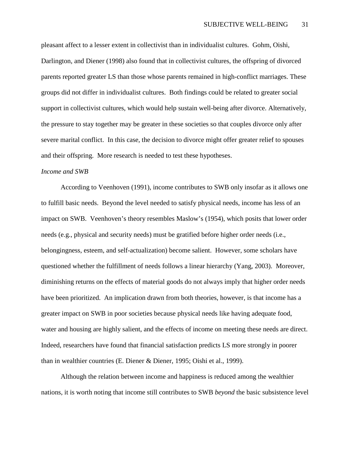pleasant affect to a lesser extent in collectivist than in individualist cultures. Gohm, Oishi, Darlington, and Diener (1998) also found that in collectivist cultures, the offspring of divorced parents reported greater LS than those whose parents remained in high-conflict marriages. These groups did not differ in individualist cultures. Both findings could be related to greater social support in collectivist cultures, which would help sustain well-being after divorce. Alternatively, the pressure to stay together may be greater in these societies so that couples divorce only after severe marital conflict. In this case, the decision to divorce might offer greater relief to spouses and their offspring. More research is needed to test these hypotheses.

## *Income and SWB*

According to Veenhoven (1991), income contributes to SWB only insofar as it allows one to fulfill basic needs. Beyond the level needed to satisfy physical needs, income has less of an impact on SWB. Veenhoven's theory resembles Maslow's (1954), which posits that lower order needs (e.g., physical and security needs) must be gratified before higher order needs (i.e., belongingness, esteem, and self-actualization) become salient. However, some scholars have questioned whether the fulfillment of needs follows a linear hierarchy (Yang, 2003). Moreover, diminishing returns on the effects of material goods do not always imply that higher order needs have been prioritized. An implication drawn from both theories, however, is that income has a greater impact on SWB in poor societies because physical needs like having adequate food, water and housing are highly salient, and the effects of income on meeting these needs are direct. Indeed, researchers have found that financial satisfaction predicts LS more strongly in poorer than in wealthier countries (E. Diener & Diener, 1995; Oishi et al., 1999).

Although the relation between income and happiness is reduced among the wealthier nations, it is worth noting that income still contributes to SWB *beyond* the basic subsistence level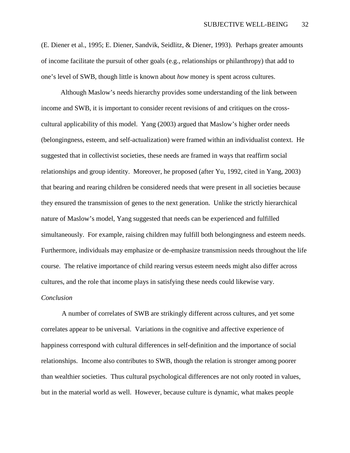(E. Diener et al., 1995; E. Diener, Sandvik, Seidlitz, & Diener, 1993). Perhaps greater amounts of income facilitate the pursuit of other goals (e.g., relationships or philanthropy) that add to one's level of SWB, though little is known about *how* money is spent across cultures.

Although Maslow's needs hierarchy provides some understanding of the link between income and SWB, it is important to consider recent revisions of and critiques on the crosscultural applicability of this model. Yang (2003) argued that Maslow's higher order needs (belongingness, esteem, and self-actualization) were framed within an individualist context. He suggested that in collectivist societies, these needs are framed in ways that reaffirm social relationships and group identity. Moreover, he proposed (after Yu, 1992, cited in Yang, 2003) that bearing and rearing children be considered needs that were present in all societies because they ensured the transmission of genes to the next generation. Unlike the strictly hierarchical nature of Maslow's model, Yang suggested that needs can be experienced and fulfilled simultaneously. For example, raising children may fulfill both belongingness and esteem needs. Furthermore, individuals may emphasize or de-emphasize transmission needs throughout the life course. The relative importance of child rearing versus esteem needs might also differ across cultures, and the role that income plays in satisfying these needs could likewise vary.

# *Conclusion*

A number of correlates of SWB are strikingly different across cultures, and yet some correlates appear to be universal. Variations in the cognitive and affective experience of happiness correspond with cultural differences in self-definition and the importance of social relationships. Income also contributes to SWB, though the relation is stronger among poorer than wealthier societies. Thus cultural psychological differences are not only rooted in values, but in the material world as well. However, because culture is dynamic, what makes people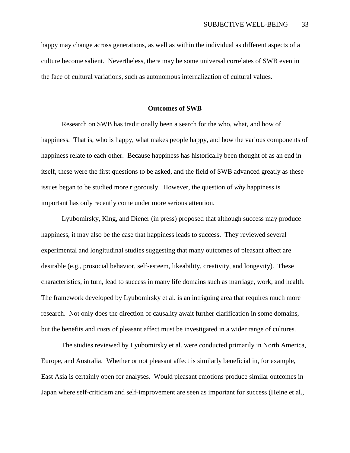happy may change across generations, as well as within the individual as different aspects of a culture become salient. Nevertheless, there may be some universal correlates of SWB even in the face of cultural variations, such as autonomous internalization of cultural values.

#### **Outcomes of SWB**

Research on SWB has traditionally been a search for the who, what, and how of happiness. That is, who is happy, what makes people happy, and how the various components of happiness relate to each other. Because happiness has historically been thought of as an end in itself, these were the first questions to be asked, and the field of SWB advanced greatly as these issues began to be studied more rigorously. However, the question of *why* happiness is important has only recently come under more serious attention.

Lyubomirsky, King, and Diener (in press) proposed that although success may produce happiness, it may also be the case that happiness leads to success. They reviewed several experimental and longitudinal studies suggesting that many outcomes of pleasant affect are desirable (e.g., prosocial behavior, self-esteem, likeability, creativity, and longevity). These characteristics, in turn, lead to success in many life domains such as marriage, work, and health. The framework developed by Lyubomirsky et al. is an intriguing area that requires much more research. Not only does the direction of causality await further clarification in some domains, but the benefits and *costs* of pleasant affect must be investigated in a wider range of cultures.

The studies reviewed by Lyubomirsky et al. were conducted primarily in North America, Europe, and Australia. Whether or not pleasant affect is similarly beneficial in, for example, East Asia is certainly open for analyses. Would pleasant emotions produce similar outcomes in Japan where self-criticism and self-improvement are seen as important for success (Heine et al.,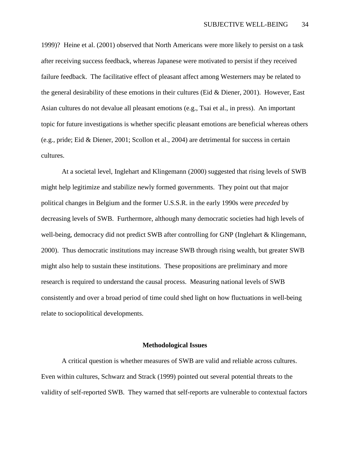1999)? Heine et al. (2001) observed that North Americans were more likely to persist on a task after receiving success feedback, whereas Japanese were motivated to persist if they received failure feedback. The facilitative effect of pleasant affect among Westerners may be related to the general desirability of these emotions in their cultures (Eid & Diener, 2001). However, East Asian cultures do not devalue all pleasant emotions (e.g., Tsai et al., in press). An important topic for future investigations is whether specific pleasant emotions are beneficial whereas others (e.g., pride; Eid & Diener, 2001; Scollon et al., 2004) are detrimental for success in certain cultures.

At a societal level, Inglehart and Klingemann (2000) suggested that rising levels of SWB might help legitimize and stabilize newly formed governments. They point out that major political changes in Belgium and the former U.S.S.R. in the early 1990s were *preceded* by decreasing levels of SWB. Furthermore, although many democratic societies had high levels of well-being, democracy did not predict SWB after controlling for GNP (Inglehart & Klingemann, 2000). Thus democratic institutions may increase SWB through rising wealth, but greater SWB might also help to sustain these institutions. These propositions are preliminary and more research is required to understand the causal process. Measuring national levels of SWB consistently and over a broad period of time could shed light on how fluctuations in well-being relate to sociopolitical developments.

#### **Methodological Issues**

A critical question is whether measures of SWB are valid and reliable across cultures. Even within cultures, Schwarz and Strack (1999) pointed out several potential threats to the validity of self-reported SWB. They warned that self-reports are vulnerable to contextual factors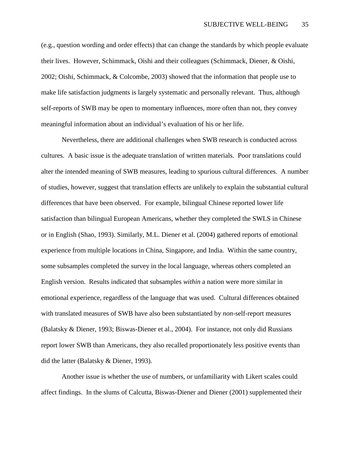(e.g., question wording and order effects) that can change the standards by which people evaluate their lives. However, Schimmack, Oishi and their colleagues (Schimmack, Diener, & Oishi, 2002; Oishi, Schimmack, & Colcombe, 2003) showed that the information that people use to make life satisfaction judgments is largely systematic and personally relevant. Thus, although self-reports of SWB may be open to momentary influences, more often than not, they convey meaningful information about an individual's evaluation of his or her life.

Nevertheless, there are additional challenges when SWB research is conducted across cultures. A basic issue is the adequate translation of written materials. Poor translations could alter the intended meaning of SWB measures, leading to spurious cultural differences. A number of studies, however, suggest that translation effects are unlikely to explain the substantial cultural differences that have been observed. For example, bilingual Chinese reported lower life satisfaction than bilingual European Americans, whether they completed the SWLS in Chinese or in English (Shao, 1993). Similarly, M.L. Diener et al. (2004) gathered reports of emotional experience from multiple locations in China, Singapore, and India. Within the same country, some subsamples completed the survey in the local language, whereas others completed an English version. Results indicated that subsamples *within* a nation were more similar in emotional experience, regardless of the language that was used. Cultural differences obtained with translated measures of SWB have also been substantiated by *non*-self-report measures (Balatsky & Diener, 1993; Biswas-Diener et al., 2004). For instance, not only did Russians report lower SWB than Americans, they also recalled proportionately less positive events than did the latter (Balatsky & Diener, 1993).

Another issue is whether the use of numbers, or unfamiliarity with Likert scales could affect findings. In the slums of Calcutta, Biswas-Diener and Diener (2001) supplemented their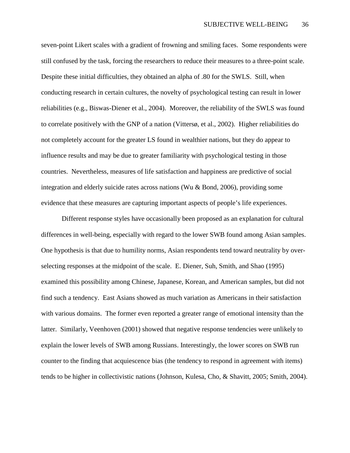seven-point Likert scales with a gradient of frowning and smiling faces. Some respondents were still confused by the task, forcing the researchers to reduce their measures to a three-point scale. Despite these initial difficulties, they obtained an alpha of .80 for the SWLS. Still, when conducting research in certain cultures, the novelty of psychological testing can result in lower reliabilities (e.g., Biswas-Diener et al., 2004). Moreover, the reliability of the SWLS was found to correlate positively with the GNP of a nation (Vittersø, et al., 2002). Higher reliabilities do not completely account for the greater LS found in wealthier nations, but they do appear to influence results and may be due to greater familiarity with psychological testing in those countries. Nevertheless, measures of life satisfaction and happiness are predictive of social integration and elderly suicide rates across nations (Wu & Bond, 2006), providing some evidence that these measures are capturing important aspects of people's life experiences.

Different response styles have occasionally been proposed as an explanation for cultural differences in well-being, especially with regard to the lower SWB found among Asian samples. One hypothesis is that due to humility norms, Asian respondents tend toward neutrality by overselecting responses at the midpoint of the scale. E. Diener, Suh, Smith, and Shao (1995) examined this possibility among Chinese, Japanese, Korean, and American samples, but did not find such a tendency. East Asians showed as much variation as Americans in their satisfaction with various domains. The former even reported a greater range of emotional intensity than the latter. Similarly, Veenhoven (2001) showed that negative response tendencies were unlikely to explain the lower levels of SWB among Russians. Interestingly, the lower scores on SWB run counter to the finding that acquiescence bias (the tendency to respond in agreement with items) tends to be higher in collectivistic nations (Johnson, Kulesa, Cho, & Shavitt, 2005; Smith, 2004).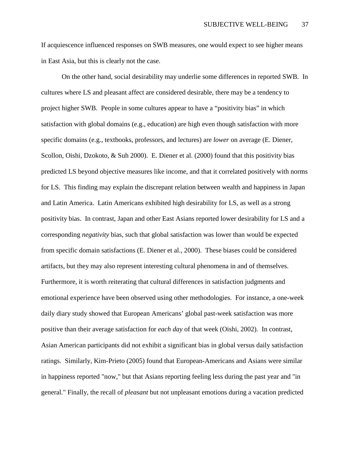If acquiescence influenced responses on SWB measures, one would expect to see higher means in East Asia, but this is clearly not the case.

On the other hand, social desirability may underlie some differences in reported SWB. In cultures where LS and pleasant affect are considered desirable, there may be a tendency to project higher SWB. People in some cultures appear to have a "positivity bias" in which satisfaction with global domains (e.g., education) are high even though satisfaction with more specific domains (e.g., textbooks, professors, and lectures) are *lower* on average (E. Diener, Scollon, Oishi, Dzokoto, & Suh 2000). E. Diener et al. (2000) found that this positivity bias predicted LS beyond objective measures like income, and that it correlated positively with norms for LS. This finding may explain the discrepant relation between wealth and happiness in Japan and Latin America. Latin Americans exhibited high desirability for LS, as well as a strong positivity bias. In contrast, Japan and other East Asians reported lower desirability for LS and a corresponding *negativity* bias, such that global satisfaction was lower than would be expected from specific domain satisfactions (E. Diener et al., 2000). These biases could be considered artifacts, but they may also represent interesting cultural phenomena in and of themselves. Furthermore, it is worth reiterating that cultural differences in satisfaction judgments and emotional experience have been observed using other methodologies. For instance, a one-week daily diary study showed that European Americans' global past-week satisfaction was more positive than their average satisfaction for *each day* of that week (Oishi, 2002). In contrast, Asian American participants did not exhibit a significant bias in global versus daily satisfaction ratings. Similarly, Kim-Prieto (2005) found that European-Americans and Asians were similar in happiness reported "now," but that Asians reporting feeling less during the past year and "in general." Finally, the recall of *pleasant* but not unpleasant emotions during a vacation predicted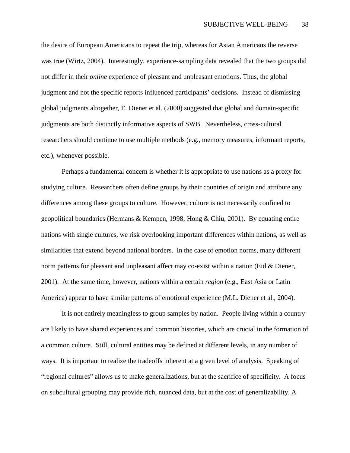the desire of European Americans to repeat the trip, whereas for Asian Americans the reverse was true (Wirtz, 2004). Interestingly, experience-sampling data revealed that the two groups did not differ in their *online* experience of pleasant and unpleasant emotions. Thus, the global judgment and not the specific reports influenced participants' decisions. Instead of dismissing global judgments altogether, E. Diener et al. (2000) suggested that global and domain-specific judgments are both distinctly informative aspects of SWB. Nevertheless, cross-cultural researchers should continue to use multiple methods (e.g., memory measures, informant reports, etc.), whenever possible.

Perhaps a fundamental concern is whether it is appropriate to use nations as a proxy for studying culture. Researchers often define groups by their countries of origin and attribute any differences among these groups to culture. However, culture is not necessarily confined to geopolitical boundaries (Hermans & Kempen, 1998; Hong & Chiu, 2001). By equating entire nations with single cultures, we risk overlooking important differences within nations, as well as similarities that extend beyond national borders. In the case of emotion norms, many different norm patterns for pleasant and unpleasant affect may co-exist within a nation (Eid & Diener, 2001). At the same time, however, nations within a certain *region* (e.g., East Asia or Latin America) appear to have similar patterns of emotional experience (M.L. Diener et al., 2004).

It is not entirely meaningless to group samples by nation. People living within a country are likely to have shared experiences and common histories, which are crucial in the formation of a common culture. Still, cultural entities may be defined at different levels, in any number of ways. It is important to realize the tradeoffs inherent at a given level of analysis. Speaking of "regional cultures" allows us to make generalizations, but at the sacrifice of specificity. A focus on subcultural grouping may provide rich, nuanced data, but at the cost of generalizability. A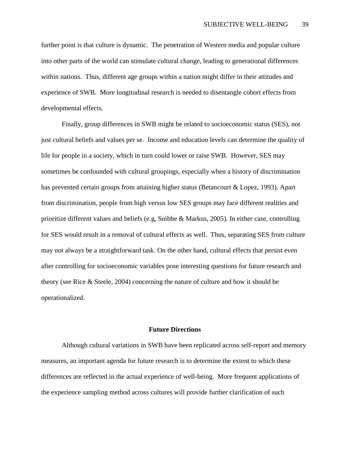further point is that culture is dynamic. The penetration of Western media and popular culture into other parts of the world can stimulate cultural change, leading to generational differences within nations. Thus, different age groups within a nation might differ in their attitudes and experience of SWB. More longitudinal research is needed to disentangle cohort effects from developmental effects.

Finally, group differences in SWB might be related to socioeconomic status (SES), not just cultural beliefs and values per se. Income and education levels can determine the quality of life for people in a society, which in turn could lower or raise SWB. However, SES may sometimes be confounded with cultural groupings, especially when a history of discrimination has prevented certain groups from attaining higher status (Betancourt & Lopez, 1993). Apart from discrimination, people from high versus low SES groups may face different realities and prioritize different values and beliefs (e.g, Snibbe & Markus, 2005). In either case, controlling for SES would result in a removal of cultural effects as well. Thus, separating SES from culture may not always be a straightforward task. On the other hand, cultural effects that persist even after controlling for socioeconomic variables pose interesting questions for future research and theory (see Rice & Steele, 2004) concerning the nature of culture and how it should be operationalized.

## **Future Directions**

Although cultural variations in SWB have been replicated across self-report and memory measures, an important agenda for future research is to determine the extent to which these differences are reflected in the actual experience of well-being. More frequent applications of the experience sampling method across cultures will provide further clarification of such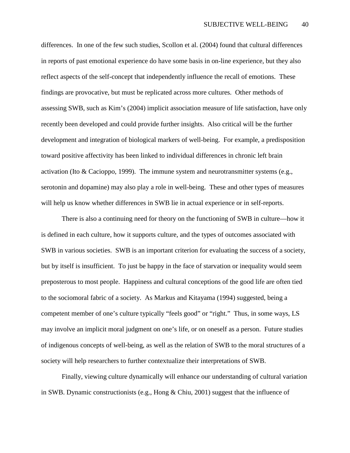differences. In one of the few such studies, Scollon et al. (2004) found that cultural differences in reports of past emotional experience do have some basis in on-line experience, but they also reflect aspects of the self-concept that independently influence the recall of emotions. These findings are provocative, but must be replicated across more cultures. Other methods of assessing SWB, such as Kim's (2004) implicit association measure of life satisfaction, have only recently been developed and could provide further insights. Also critical will be the further development and integration of biological markers of well-being. For example, a predisposition toward positive affectivity has been linked to individual differences in chronic left brain activation (Ito & Cacioppo, 1999). The immune system and neurotransmitter systems (e.g., serotonin and dopamine) may also play a role in well-being. These and other types of measures will help us know whether differences in SWB lie in actual experience or in self-reports.

There is also a continuing need for theory on the functioning of SWB in culture—how it is defined in each culture, how it supports culture, and the types of outcomes associated with SWB in various societies. SWB is an important criterion for evaluating the success of a society, but by itself is insufficient. To just be happy in the face of starvation or inequality would seem preposterous to most people. Happiness and cultural conceptions of the good life are often tied to the sociomoral fabric of a society. As Markus and Kitayama (1994) suggested, being a competent member of one's culture typically "feels good" or "right." Thus, in some ways, LS may involve an implicit moral judgment on one's life, or on oneself as a person. Future studies of indigenous concepts of well-being, as well as the relation of SWB to the moral structures of a society will help researchers to further contextualize their interpretations of SWB.

Finally, viewing culture dynamically will enhance our understanding of cultural variation in SWB. Dynamic constructionists (e.g., Hong  $&$  Chiu, 2001) suggest that the influence of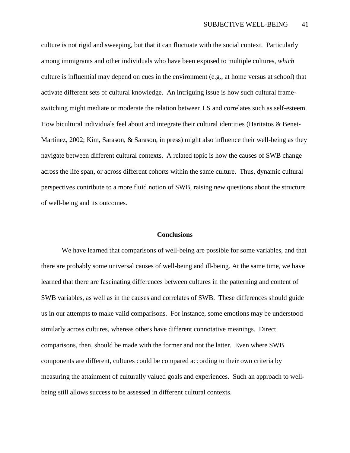culture is not rigid and sweeping, but that it can fluctuate with the social context. Particularly among immigrants and other individuals who have been exposed to multiple cultures, *which* culture is influential may depend on cues in the environment (e.g., at home versus at school) that activate different sets of cultural knowledge. An intriguing issue is how such cultural frameswitching might mediate or moderate the relation between LS and correlates such as self-esteem. How bicultural individuals feel about and integrate their cultural identities (Haritatos & Benet-Martínez, 2002; Kim, Sarason, & Sarason, in press) might also influence their well-being as they navigate between different cultural contexts. A related topic is how the causes of SWB change across the life span, or across different cohorts within the same culture. Thus, dynamic cultural perspectives contribute to a more fluid notion of SWB, raising new questions about the structure of well-being and its outcomes.

#### **Conclusions**

We have learned that comparisons of well-being are possible for some variables, and that there are probably some universal causes of well-being and ill-being. At the same time, we have learned that there are fascinating differences between cultures in the patterning and content of SWB variables, as well as in the causes and correlates of SWB. These differences should guide us in our attempts to make valid comparisons. For instance, some emotions may be understood similarly across cultures, whereas others have different connotative meanings. Direct comparisons, then, should be made with the former and not the latter. Even where SWB components are different, cultures could be compared according to their own criteria by measuring the attainment of culturally valued goals and experiences. Such an approach to wellbeing still allows success to be assessed in different cultural contexts.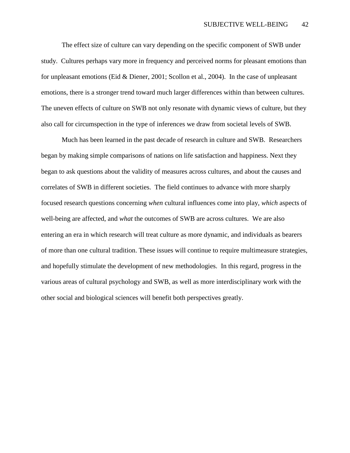The effect size of culture can vary depending on the specific component of SWB under study. Cultures perhaps vary more in frequency and perceived norms for pleasant emotions than for unpleasant emotions (Eid & Diener, 2001; Scollon et al., 2004). In the case of unpleasant emotions, there is a stronger trend toward much larger differences within than between cultures. The uneven effects of culture on SWB not only resonate with dynamic views of culture, but they also call for circumspection in the type of inferences we draw from societal levels of SWB.

Much has been learned in the past decade of research in culture and SWB. Researchers began by making simple comparisons of nations on life satisfaction and happiness. Next they began to ask questions about the validity of measures across cultures, and about the causes and correlates of SWB in different societies. The field continues to advance with more sharply focused research questions concerning *when* cultural influences come into play, *which* aspects of well-being are affected, and *what* the outcomes of SWB are across cultures. We are also entering an era in which research will treat culture as more dynamic, and individuals as bearers of more than one cultural tradition. These issues will continue to require multimeasure strategies, and hopefully stimulate the development of new methodologies. In this regard, progress in the various areas of cultural psychology and SWB, as well as more interdisciplinary work with the other social and biological sciences will benefit both perspectives greatly.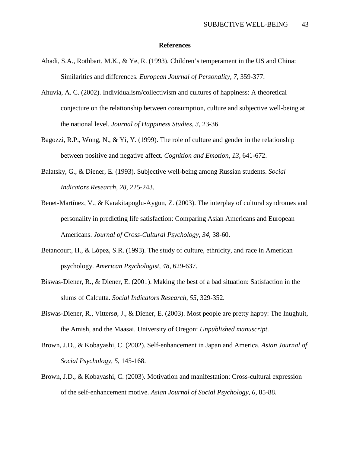#### **References**

- Ahadi, S.A., Rothbart, M.K., & Ye, R. (1993). Children's temperament in the US and China: Similarities and differences. *European Journal of Personality, 7*, 359-377.
- Ahuvia, A. C. (2002). Individualism/collectivism and cultures of happiness: A theoretical conjecture on the relationship between consumption, culture and subjective well-being at the national level. *Journal of Happiness Studies, 3,* 23-36.
- Bagozzi, R.P., Wong, N., & Yi, Y. (1999). The role of culture and gender in the relationship between positive and negative affect. *Cognition and Emotion, 13,* 641-672.
- Balatsky, G., & Diener, E. (1993). Subjective well-being among Russian students. *Social Indicators Research, 28*, 225-243.
- Benet-Martínez, V., & Karakitapoglu-Aygun, Z. (2003). The interplay of cultural syndromes and personality in predicting life satisfaction: Comparing Asian Americans and European Americans. *Journal of Cross-Cultural Psychology, 34*, 38-60.
- Betancourt, H., & López, S.R. (1993). The study of culture, ethnicity, and race in American psychology. *American Psychologist, 48*, 629-637.
- Biswas-Diener, R., & Diener, E. (2001). Making the best of a bad situation: Satisfaction in the slums of Calcutta. *Social Indicators Research*, *55*, 329-352.
- Biswas-Diener, R., Vittersø, J., & Diener, E. (2003). Most people are pretty happy: The Inughuit, the Amish, and the Maasai. University of Oregon: *Unpublished manuscript*.
- Brown, J.D., & Kobayashi, C. (2002). Self-enhancement in Japan and America. *Asian Journal of Social Psychology, 5*, 145-168.
- Brown, J.D., & Kobayashi, C. (2003). Motivation and manifestation: Cross-cultural expression of the self-enhancement motive. *Asian Journal of Social Psychology, 6*, 85-88.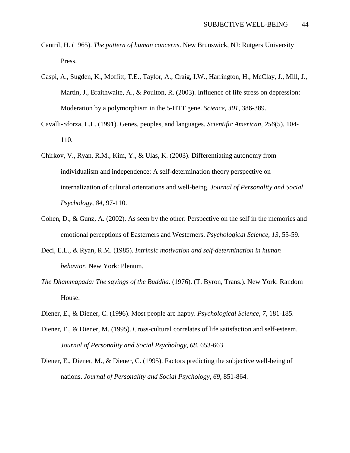- Cantril, H. (1965). *The pattern of human concerns*. New Brunswick, NJ: Rutgers University Press.
- Caspi, A., Sugden, K., Moffitt, T.E., Taylor, A., Craig, I.W., Harrington, H., McClay, J., Mill, J., Martin, J., Braithwaite, A., & Poulton, R. (2003). Influence of life stress on depression: Moderation by a polymorphism in the 5-HTT gene. *Science, 301*, 386-389.
- Cavalli-Sforza, L.L. (1991). Genes, peoples, and languages. *Scientific American, 256*(5), 104- 110.
- Chirkov, V., Ryan, R.M., Kim, Y., & Ulas, K. (2003). Differentiating autonomy from individualism and independence: A self-determination theory perspective on internalization of cultural orientations and well-being. *Journal of Personality and Social Psychology*, *84*, 97-110.
- Cohen, D., & Gunz, A. (2002). As seen by the other: Perspective on the self in the memories and emotional perceptions of Easterners and Westerners. *Psychological Science, 13*, 55-59.
- Deci, E.L., & Ryan, R.M. (1985). *Intrinsic motivation and self-determination in human behavior*. New York: Plenum.
- *The Dhammapada: The sayings of the Buddha*. (1976). (T. Byron, Trans.). New York: Random House.
- Diener, E., & Diener, C. (1996). Most people are happy. *Psychological Science*, *7*, 181-185.
- Diener, E., & Diener, M. (1995). Cross-cultural correlates of life satisfaction and self-esteem. *Journal of Personality and Social Psychology, 68*, 653-663.
- Diener, E., Diener, M., & Diener, C. (1995). Factors predicting the subjective well-being of nations. *Journal of Personality and Social Psychology, 69*, 851-864.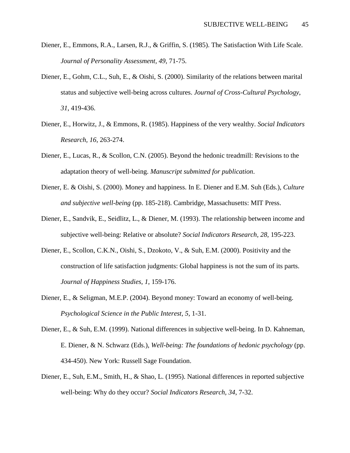- Diener, E., Emmons, R.A., Larsen, R.J., & Griffin, S. (1985). The Satisfaction With Life Scale. *Journal of Personality Assessment, 49*, 71-75.
- Diener, E., Gohm, C.L., Suh, E., & Oishi, S. (2000). Similarity of the relations between marital status and subjective well-being across cultures. *Journal of Cross-Cultural Psychology*, *31*, 419-436.
- Diener, E., Horwitz, J., & Emmons, R. (1985). Happiness of the very wealthy. *Social Indicators Research, 16*, 263-274.
- Diener, E., Lucas, R., & Scollon, C.N. (2005). Beyond the hedonic treadmill: Revisions to the adaptation theory of well-being. *Manuscript submitted for publication*.
- Diener, E. & Oishi, S. (2000). Money and happiness. In E. Diener and E.M. Suh (Eds.), *Culture and subjective well-being* (pp. 185-218). Cambridge, Massachusetts: MIT Press.
- Diener, E., Sandvik, E., Seidlitz, L., & Diener, M. (1993). The relationship between income and subjective well-being: Relative or absolute? *Social Indicators Research, 28*, 195-223.
- Diener, E., Scollon, C.K.N., Oishi, S., Dzokoto, V., & Suh, E.M. (2000). Positivity and the construction of life satisfaction judgments: Global happiness is not the sum of its parts. *Journal of Happiness Studies, 1*, 159-176.
- Diener, E., & Seligman, M.E.P. (2004). Beyond money: Toward an economy of well-being. *Psychological Science in the Public Interest, 5*, 1-31.
- Diener, E., & Suh, E.M. (1999). National differences in subjective well-being. In D. Kahneman, E. Diener, & N. Schwarz (Eds.), *Well-being: The foundations of hedonic psychology* (pp. 434-450). New York: Russell Sage Foundation.
- Diener, E., Suh, E.M., Smith, H., & Shao, L. (1995). National differences in reported subjective well-being: Why do they occur? *Social Indicators Research, 34*, 7-32.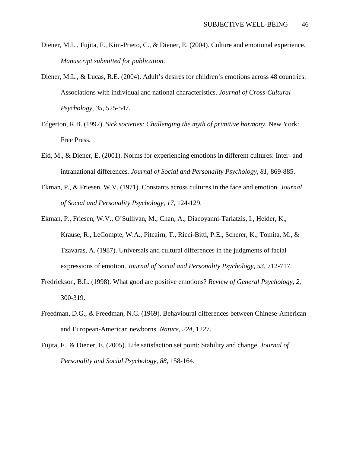- Diener, M.L., Fujita, F., Kim-Prieto, C., & Diener, E. (2004). Culture and emotional experience. *Manuscript submitted for publication*.
- Diener, M.L., & Lucas, R.E. (2004). Adult's desires for children's emotions across 48 countries: Associations with individual and national characteristics. *Journal of Cross-Cultural Psychology, 35*, 525-547.
- Edgerton, R.B. (1992). *Sick societies: Challenging the myth of primitive harmony*. New York: Free Press.
- Eid, M., & Diener, E. (2001). Norms for experiencing emotions in different cultures: Inter- and intranational differences. *Journal of Social and Personality Psychology, 81*, 869-885.
- Ekman, P., & Friesen, W.V. (1971). Constants across cultures in the face and emotion. *Journal of Social and Personality Psychology, 17*, 124-129.
- Ekman, P., Friesen, W.V., O'Sullivan, M., Chan, A., Diacoyanni-Tarlatzis, I., Heider, K., Krause, R., LeCompte, W.A., Pitcairn, T., Ricci-Bitti, P.E., Scherer, K., Tomita, M., & Tzavaras, A. (1987). Universals and cultural differences in the judgments of facial expressions of emotion. *Journal of Social and Personality Psychology, 53*, 712-717.
- Fredrickson, B.L. (1998). What good are positive emotions? *Review of General Psychology, 2,* 300-319.
- Freedman, D.G., & Freedman, N.C. (1969). Behavioural differences between Chinese-American and European-American newborns. *Nature*, *224*, 1227.
- Fujita, F., & Diener, E. (2005). Life satisfaction set point: Stability and change. *Journal of Personality and Social Psychology, 88*, 158-164.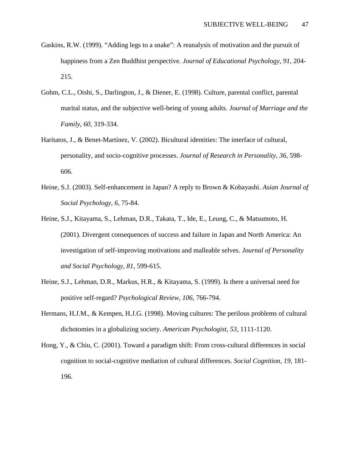- Gaskins, R.W. (1999). "Adding legs to a snake": A reanalysis of motivation and the pursuit of happiness from a Zen Buddhist perspective. *Journal of Educational Psychology, 91*, 204- 215.
- Gohm, C.L., Oishi, S., Darlington, J., & Diener, E. (1998). Culture, parental conflict, parental marital status, and the subjective well-being of young adults. *Journal of Marriage and the Family, 60*, 319-334.
- Haritatos, J., & Benet-Martínez, V. (2002). Bicultural identities: The interface of cultural, personality, and socio-cognitive processes. *Journal of Research in Personality, 36*, 598- 606.
- Heine, S.J. (2003). Self-enhancement in Japan? A reply to Brown & Kobayashi. *Asian Journal of Social Psychology, 6*, 75-84.
- Heine, S.J., Kitayama, S., Lehman, D.R., Takata, T., Ide, E., Leung, C., & Matsumoto, H. (2001). Divergent consequences of success and failure in Japan and North America: An investigation of self-improving motivations and malleable selves. *Journal of Personality and Social Psychology, 81*, 599-615.
- Heine, S.J., Lehman, D.R., Markus, H.R., & Kitayama, S. (1999). Is there a universal need for positive self-regard? *Psychological Review, 106*, 766-794.
- Hermans, H.J.M., & Kempen, H.J.G. (1998). Moving cultures: The perilous problems of cultural dichotomies in a globalizing society. *American Psychologist, 53*, 1111-1120.
- Hong, Y., & Chiu, C. (2001). Toward a paradigm shift: From cross-cultural differences in social cognition to social-cognitive mediation of cultural differences. *Social Cognition, 19*, 181- 196.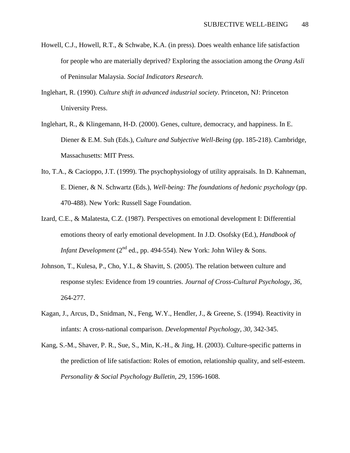- Howell, C.J., Howell, R.T., & Schwabe, K.A. (in press). Does wealth enhance life satisfaction for people who are materially deprived? Exploring the association among the *Orang Asli* of Peninsular Malaysia. *Social Indicators Research*.
- Inglehart, R. (1990). *Culture shift in advanced industrial society*. Princeton, NJ: Princeton University Press.
- Inglehart, R., & Klingemann, H-D. (2000). Genes, culture, democracy, and happiness. In E. Diener & E.M. Suh (Eds.), *Culture and Subjective Well-Being* (pp. 185-218). Cambridge, Massachusetts: MIT Press.
- Ito, T.A., & Cacioppo, J.T. (1999). The psychophysiology of utility appraisals. In D. Kahneman, E. Diener, & N. Schwartz (Eds.), *Well-being: The foundations of hedonic psychology* (pp. 470-488). New York: Russell Sage Foundation.
- Izard, C.E., & Malatesta, C.Z. (1987). Perspectives on emotional development I: Differential emotions theory of early emotional development. In J.D. Osofsky (Ed.), *Handbook of Infant Development*  $(2^{nd}$  ed., pp. 494-554). New York: John Wiley & Sons.
- Johnson, T., Kulesa, P., Cho, Y.I., & Shavitt, S. (2005). The relation between culture and response styles: Evidence from 19 countries. *Journal of Cross-Cultural Psychology, 36*, 264-277.
- Kagan, J., Arcus, D., Snidman, N., Feng, W.Y., Hendler, J., & Greene, S. (1994). Reactivity in infants: A cross-national comparison. *Developmental Psychology, 30*, 342-345.
- Kang, S.-M., Shaver, P. R., Sue, S., Min, K.-H., & Jing, H. (2003). Culture-specific patterns in the prediction of life satisfaction: Roles of emotion, relationship quality, and self-esteem. *Personality & Social Psychology Bulletin, 29*, 1596-1608.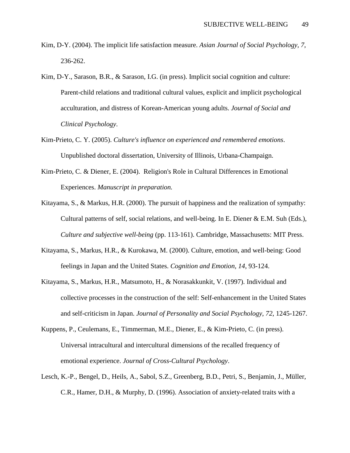- Kim, D-Y. (2004). The implicit life satisfaction measure. *Asian Journal of Social Psychology, 7*, 236-262.
- Kim, D-Y., Sarason, B.R., & Sarason, I.G. (in press). Implicit social cognition and culture: Parent-child relations and traditional cultural values, explicit and implicit psychological acculturation, and distress of Korean-American young adults. *Journal of Social and Clinical Psychology*.
- Kim-Prieto, C. Y. (2005). *Culture's influence on experienced and remembered emotions*. Unpublished doctoral dissertation, University of Illinois, Urbana-Champaign.
- Kim-Prieto, C. & Diener, E. (2004). Religion's Role in Cultural Differences in Emotional Experiences. *Manuscript in preparation.*
- Kitayama, S., & Markus, H.R. (2000). The pursuit of happiness and the realization of sympathy: Cultural patterns of self, social relations, and well-being. In E. Diener & E.M. Suh (Eds.), *Culture and subjective well-being* (pp. 113-161). Cambridge, Massachusetts: MIT Press.
- Kitayama, S., Markus, H.R., & Kurokawa, M. (2000). Culture, emotion, and well-being: Good feelings in Japan and the United States. *Cognition and Emotion, 14*, 93-124.
- Kitayama, S., Markus, H.R., Matsumoto, H., & Norasakkunkit, V. (1997). Individual and collective processes in the construction of the self: Self-enhancement in the United States and self-criticism in Japan. *Journal of Personality and Social Psychology, 72*, 1245-1267.
- Kuppens, P., Ceulemans, E., Timmerman, M.E., Diener, E., & Kim-Prieto, C. (in press). Universal intracultural and intercultural dimensions of the recalled frequency of emotional experience. *Journal of Cross-Cultural Psychology*.
- Lesch, K.-P., Bengel, D., Heils, A., Sabol, S.Z., Greenberg, B.D., Petri, S., Benjamin, J., Müller, C.R., Hamer, D.H., & Murphy, D. (1996). Association of anxiety-related traits with a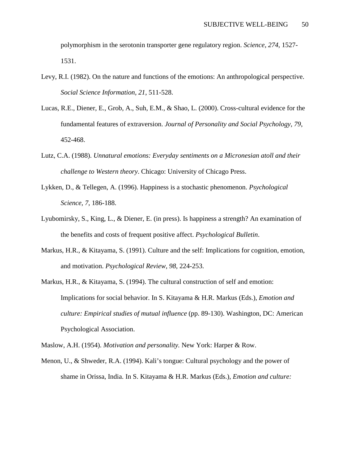polymorphism in the serotonin transporter gene regulatory region. *Science*, *274*, 1527- 1531.

- Levy, R.I. (1982). On the nature and functions of the emotions: An anthropological perspective. *Social Science Information, 21*, 511-528.
- Lucas, R.E., Diener, E., Grob, A., Suh, E.M., & Shao, L. (2000). Cross-cultural evidence for the fundamental features of extraversion. *Journal of Personality and Social Psychology, 79*, 452-468.
- Lutz, C.A. (1988). *Unnatural emotions: Everyday sentiments on a Micronesian atoll and their challenge to Western theory*. Chicago: University of Chicago Press.
- Lykken, D., & Tellegen, A. (1996). Happiness is a stochastic phenomenon. *Psychological Science, 7*, 186-188.
- Lyubomirsky, S., King, L., & Diener, E. (in press). Is happiness a strength? An examination of the benefits and costs of frequent positive affect. *Psychological Bulletin*.
- Markus, H.R., & Kitayama, S. (1991). Culture and the self: Implications for cognition, emotion, and motivation. *Psychological Review, 98*, 224-253.
- Markus, H.R., & Kitayama, S. (1994). The cultural construction of self and emotion: Implications for social behavior. In S. Kitayama & H.R. Markus (Eds.), *Emotion and culture: Empirical studies of mutual influence* (pp. 89-130). Washington, DC: American Psychological Association.

Maslow, A.H. (1954). *Motivation and personality.* New York: Harper & Row.

Menon, U., & Shweder, R.A. (1994). Kali's tongue: Cultural psychology and the power of shame in Orissa, India. In S. Kitayama & H.R. Markus (Eds.), *Emotion and culture:*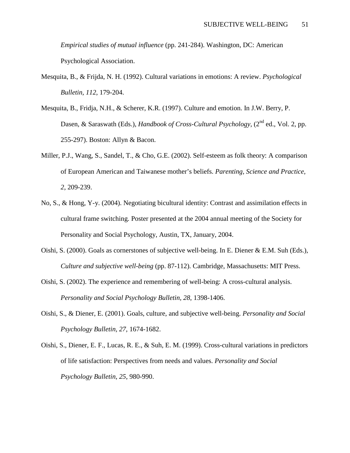*Empirical studies of mutual influence* (pp. 241-284). Washington, DC: American Psychological Association.

- Mesquita, B., & Frijda, N. H. (1992). Cultural variations in emotions: A review. *Psychological Bulletin, 112*, 179-204.
- Mesquita, B., Fridja, N.H., & Scherer, K.R. (1997). Culture and emotion. In J.W. Berry, P. Dasen, & Saraswath (Eds.), *Handbook of Cross-Cultural Psychology*, (2<sup>nd</sup> ed., Vol. 2, pp. 255-297). Boston: Allyn & Bacon.
- Miller, P.J., Wang, S., Sandel, T., & Cho, G.E. (2002). Self-esteem as folk theory: A comparison of European American and Taiwanese mother's beliefs. *Parenting, Science and Practice, 2*, 209-239.
- No, S., & Hong, Y-y. (2004). Negotiating bicultural identity: Contrast and assimilation effects in cultural frame switching. Poster presented at the 2004 annual meeting of the Society for Personality and Social Psychology, Austin, TX, January, 2004.
- Oishi, S. (2000). Goals as cornerstones of subjective well-being. In E. Diener & E.M. Suh (Eds.), *Culture and subjective well-being* (pp. 87-112). Cambridge, Massachusetts: MIT Press.
- Oishi, S. (2002). The experience and remembering of well-being: A cross-cultural analysis. *Personality and Social Psychology Bulletin, 28*, 1398-1406.
- Oishi, S., & Diener, E. (2001). Goals, culture, and subjective well-being. *Personality and Social Psychology Bulletin, 27,* 1674-1682.
- Oishi, S., Diener, E. F., Lucas, R. E., & Suh, E. M. (1999). Cross-cultural variations in predictors of life satisfaction: Perspectives from needs and values. *Personality and Social Psychology Bulletin, 25*, 980-990.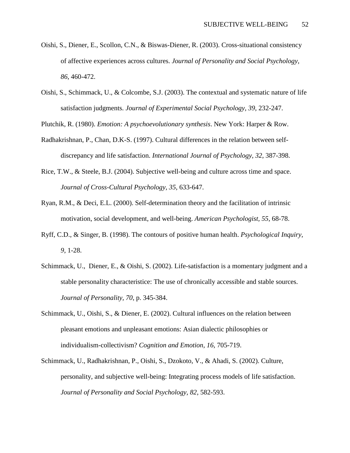- Oishi, S., Diener, E., Scollon, C.N., & Biswas-Diener, R. (2003). Cross-situational consistency of affective experiences across cultures. *Journal of Personality and Social Psychology, 86*, 460-472.
- Oishi, S., Schimmack, U., & Colcombe, S.J. (2003). The contextual and systematic nature of life satisfaction judgments. *Journal of Experimental Social Psychology, 39*, 232-247.

Plutchik, R. (1980). *Emotion: A psychoevolutionary synthesis*. New York: Harper & Row.

- Radhakrishnan, P., Chan, D.K-S. (1997). Cultural differences in the relation between selfdiscrepancy and life satisfaction. *International Journal of Psychology, 32*, 387-398.
- Rice, T.W., & Steele, B.J. (2004). Subjective well-being and culture across time and space. *Journal of Cross-Cultural Psychology, 35,* 633-647.
- Ryan, R.M., & Deci, E.L. (2000). Self-determination theory and the facilitation of intrinsic motivation, social development, and well-being. *American Psychologist, 55*, 68-78.
- Ryff, C.D., & Singer, B. (1998). The contours of positive human health. *Psychological Inquiry, 9*, 1-28.
- Schimmack, U., Diener, E., & Oishi, S. (2002). Life-satisfaction is a momentary judgment and a stable personality characteristice: The use of chronically accessible and stable sources. *Journal of Personality, 70*, p. 345-384.
- Schimmack, U., Oishi, S., & Diener, E. (2002). Cultural influences on the relation between pleasant emotions and unpleasant emotions: Asian dialectic philosophies or individualism-collectivism? *Cognition and Emotion, 16,* 705-719.
- Schimmack, U., Radhakrishnan, P., Oishi, S., Dzokoto, V., & Ahadi, S. (2002). Culture, personality, and subjective well-being: Integrating process models of life satisfaction. *Journal of Personality and Social Psychology, 82*, 582-593.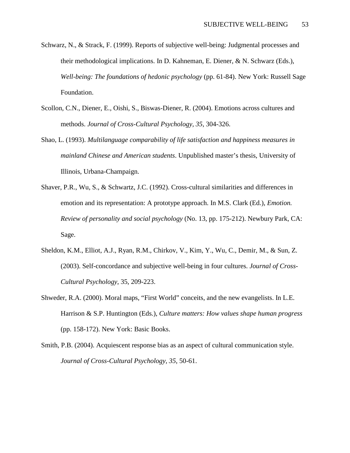- Schwarz, N., & Strack, F. (1999). Reports of subjective well-being: Judgmental processes and their methodological implications. In D. Kahneman, E. Diener, & N. Schwarz (Eds.), *Well-being: The foundations of hedonic psychology* (pp. 61-84). New York: Russell Sage Foundation.
- Scollon, C.N., Diener, E., Oishi, S., Biswas-Diener, R. (2004). Emotions across cultures and methods. *Journal of Cross-Cultural Psychology, 35*, 304-326.
- Shao, L. (1993). *Multilanguage comparability of life satisfaction and happiness measures in mainland Chinese and American students*. Unpublished master's thesis, University of Illinois, Urbana-Champaign.
- Shaver, P.R., Wu, S., & Schwartz, J.C. (1992). Cross-cultural similarities and differences in emotion and its representation: A prototype approach. In M.S. Clark (Ed.), *Emotion. Review of personality and social psychology* (No. 13, pp. 175-212). Newbury Park, CA: Sage.
- Sheldon, K.M., Elliot, A.J., Ryan, R.M., Chirkov, V., Kim, Y., Wu, C., Demir, M., & Sun, Z. (2003). Self-concordance and subjective well-being in four cultures. *Journal of Cross-Cultural Psychology*, 35, 209-223.
- Shweder, R.A. (2000). Moral maps, "First World" conceits, and the new evangelists. In L.E. Harrison & S.P. Huntington (Eds.), *Culture matters: How values shape human progress* (pp. 158-172). New York: Basic Books.
- Smith, P.B. (2004). Acquiescent response bias as an aspect of cultural communication style. *Journal of Cross-Cultural Psychology, 35*, 50-61.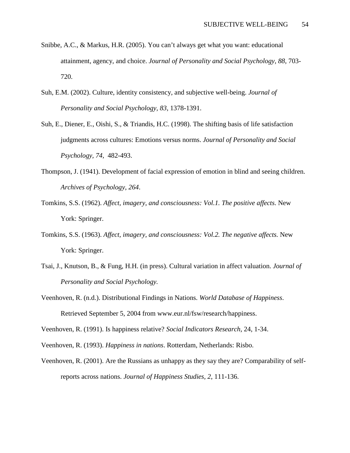- Snibbe, A.C., & Markus, H.R. (2005). You can't always get what you want: educational attainment, agency, and choice. *Journal of Personality and Social Psychology, 88*, 703- 720.
- Suh, E.M. (2002). Culture, identity consistency, and subjective well-being. *Journal of Personality and Social Psychology, 83*, 1378-1391.
- Suh, E., Diener, E., Oishi, S., & Triandis, H.C. (1998). The shifting basis of life satisfaction judgments across cultures: Emotions versus norms. *Journal of Personality and Social Psychology, 74*, 482-493.
- Thompson, J. (1941). Development of facial expression of emotion in blind and seeing children. *Archives of Psychology, 264*.
- Tomkins, S.S. (1962). *Affect, imagery, and consciousness: Vol.1. The positive affects*. New York: Springer.
- Tomkins, S.S. (1963). *Affect, imagery, and consciousness: Vol.2. The negative affects.* New York: Springer.
- Tsai, J., Knutson, B., & Fung, H.H. (in press). Cultural variation in affect valuation. *Journal of Personality and Social Psychology.*
- Veenhoven, R. (n.d.). Distributional Findings in Nations. *World Database of Happiness*. Retrieved September 5, 2004 from www.eur.nl/fsw/research/happiness.

Veenhoven, R. (1991). Is happiness relative? *Social Indicators Research*, 24, 1-34.

- Veenhoven, R. (1993). *Happiness in nations*. Rotterdam, Netherlands: Risbo.
- Veenhoven, R. (2001). Are the Russians as unhappy as they say they are? Comparability of selfreports across nations. *Journal of Happiness Studies, 2*, 111-136.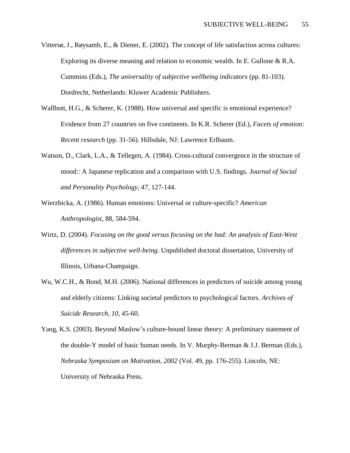Vittersø, J., Røysamb, E., & Diener, E. (2002). The concept of life satisfaction across cultures: Exploring its diverse meaning and relation to economic wealth. In E. Gullone & R.A. Cummins (Eds.), *The universality of subjective wellbeing indicators* (pp. 81-103). Dordrecht, Netherlands: Kluwer Academic Publishers.

- Wallbott, H.G., & Scherer, K. (1988). How universal and specific is emotional experience? Evidence from 27 countries on five continents. In K.R. Scherer (Ed.), *Facets of emotion: Recent research* (pp. 31-56). Hillsdale, NJ: Lawrence Erlbaum.
- Watson, D., Clark, L.A., & Tellegen, A. (1984). Cross-cultural convergence in the structure of mood:: A Japanese replication and a comparison with U.S. findings. *Journal of Social and Personality Psychology, 47,* 127-144.
- Wierzbicka, A. (1986). Human emotions: Universal or culture-specific? *American Anthropologist*, 88, 584-594.
- Wirtz, D. (2004). *Focusing on the good versus focusing on the bad: An analysis of East-West differences in subjective well-being*. Unpublished doctoral dissertation, University of Illinois, Urbana-Champaign.
- Wu, W.C.H., & Bond, M.H. (2006). National differences in predictors of suicide among young and elderly citizens: Linking societal predictors to psychological factors. *Archives of Suicide Research, 10*, 45-60.

Yang, K.S. (2003). Beyond Maslow's culture-bound linear theory: A preliminary statement of the double-Y model of basic human needs. In V. Murphy-Berman & J.J. Berman (Eds.), *Nebraska Symposium on Motivation, 2002* (Vol. 49, pp. 176-255). Lincoln, NE: University of Nebraska Press.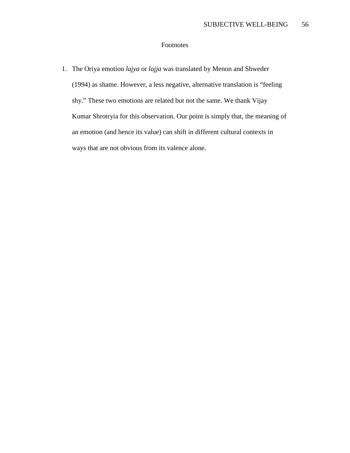# Footnotes

1. The Oriya emotion *lajya* or *lajja* was translated by Menon and Shweder (1994) as shame. However, a less negative, alternative translation is "feeling shy." These two emotions are related but not the same. We thank Vijay Kumar Shrotryia for this observation. Our point is simply that, the meaning of an emotion (and hence its value) can shift in different cultural contexts in ways that are not obvious from its valence alone.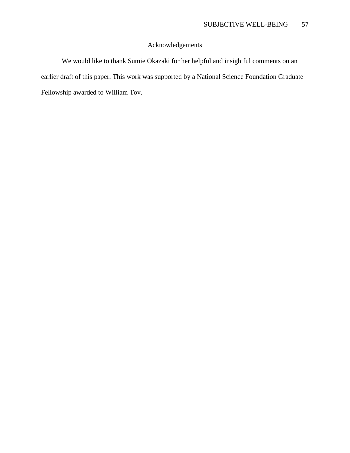# Acknowledgements

We would like to thank Sumie Okazaki for her helpful and insightful comments on an earlier draft of this paper. This work was supported by a National Science Foundation Graduate Fellowship awarded to William Tov.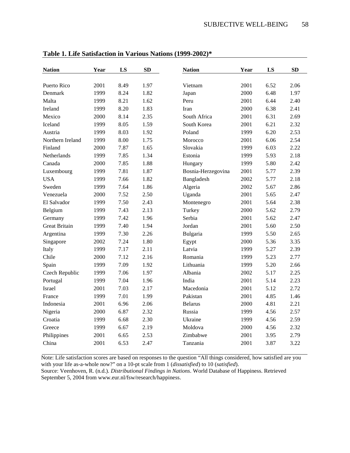| <b>Nation</b>        | Year | LS   | <b>SD</b> | <b>Nation</b>      |      | Year |
|----------------------|------|------|-----------|--------------------|------|------|
|                      |      |      |           |                    |      |      |
| Puerto Rico          | 2001 | 8.49 | 1.97      | Vietnam            |      | 2001 |
| Denmark              | 1999 | 8.24 | 1.82      | Japan              | 2000 |      |
| Malta                | 1999 | 8.21 | 1.62      | Peru               | 2001 |      |
| Ireland              | 1999 | 8.20 | 1.83      | Iran               | 2000 |      |
| Mexico               | 2000 | 8.14 | 2.35      | South Africa       | 2001 |      |
| Iceland              | 1999 | 8.05 | 1.59      | South Korea        | 2001 |      |
| Austria              | 1999 | 8.03 | 1.92      | Poland             | 1999 |      |
| Northern Ireland     | 1999 | 8.00 | 1.75      | Morocco            | 2001 |      |
| Finland              | 2000 | 7.87 | 1.65      | Slovakia           | 1999 |      |
| <b>Netherlands</b>   | 1999 | 7.85 | 1.34      | Estonia            | 1999 |      |
| Canada               | 2000 | 7.85 | 1.88      | Hungary            | 1999 |      |
| Luxembourg           | 1999 | 7.81 | 1.87      | Bosnia-Herzegovina | 2001 |      |
| <b>USA</b>           | 1999 | 7.66 | 1.82      | Bangladesh         | 2002 |      |
| Sweden               | 1999 | 7.64 | 1.86      | Algeria            | 2002 |      |
| Venezuela            | 2000 | 7.52 | 2.50      | Uganda             | 2001 |      |
| El Salvador          | 1999 | 7.50 | 2.43      | Montenegro         | 2001 |      |
| Belgium              | 1999 | 7.43 | 2.13      | Turkey             | 2000 |      |
| Germany              | 1999 | 7.42 | 1.96      | Serbia             | 2001 |      |
| <b>Great Britain</b> | 1999 | 7.40 | 1.94      | Jordan             | 2001 |      |
| Argentina            | 1999 | 7.30 | 2.26      | Bulgaria           | 1999 |      |
| Singapore            | 2002 | 7.24 | 1.80      | Egypt              | 2000 |      |
| Italy                | 1999 | 7.17 | 2.11      | Latvia             | 1999 |      |
| Chile                | 2000 | 7.12 | 2.16      | Romania            | 1999 |      |
| Spain                | 1999 | 7.09 | 1.92      | Lithuania          | 1999 |      |
| Czech Republic       | 1999 | 7.06 | 1.97      | Albania            | 2002 |      |
| Portugal             | 1999 | 7.04 | 1.96      | India              | 2001 |      |
| Israel               | 2001 | 7.03 | 2.17      | Macedonia          | 2001 |      |
| France               | 1999 | 7.01 | 1.99      | Pakistan           | 2001 |      |
| Indonesia            | 2001 | 6.96 | 2.06      | <b>Belarus</b>     | 2000 |      |
| Nigeria              | 2000 | 6.87 | 2.32      | Russia             | 1999 |      |
| Croatia              | 1999 | 6.68 | 2.30      | Ukraine            | 1999 |      |
| Greece               | 1999 | 6.67 | 2.19      | Moldova            | 2000 |      |
| Philippines          | 2001 | 6.65 | 2.53      | Zimbabwe           | 2001 |      |
| China                | 2001 | 6.53 | 2.47      | Tanzania           | 2001 |      |
|                      |      |      |           |                    |      |      |

**Table 1. Life Satisfaction in Various Nations (1999-2002)\***

Note: Life satisfaction scores are based on responses to the question "All things considered, how satisfied are you with your life as-a-whole now?" on a 10-pt scale from 1 (*dissatisfied*) to 10 (*satisfied*).

Source: Veenhoven, R. (n.d.). *Distributional Findings in Nations*. World Database of Happiness. Retrieved September 5, 2004 from www.eur.nl/fsw/research/happiness.